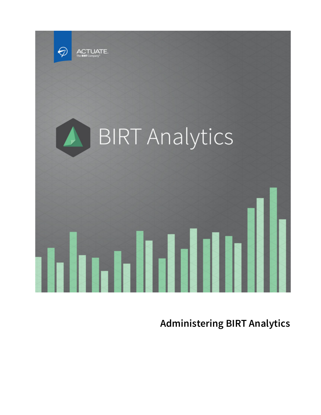

**Administering BIRT Analytics**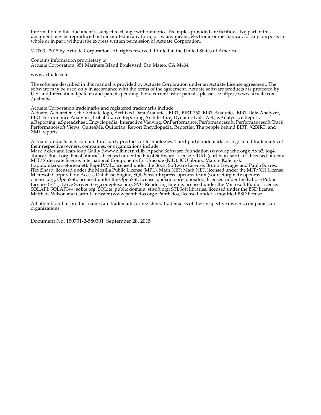Information in this document is subject to change without notice. Examples provided are fictitious. No part of this document may be reproduced or transmitted in any form, or by any means, electronic or mechanical, for any purpose, in whole or in part, without the express written permission of Actuate Corporation.

© 2003 - 2015 by Actuate Corporation. All rights reserved. Printed in the United States of America.

Contains information proprietary to:

Actuate Corporation, 951 Mariners Island Boulevard, San Mateo, CA 94404

www.actuate.com

The software described in this manual is provided by Actuate Corporation under an Actuate License agreement. The software may be used only in accordance with the terms of the agreement. Actuate software products are protected by U.S. and International patents and patents pending. For a current list of patents, please see http://www.actuate.com /patents.

Actuate Corporation trademarks and registered trademarks include:

Actuate, ActuateOne, the Actuate logo, Archived Data Analytics, BIRT, BIRT 360, BIRT Analytics, BIRT Data Analyzer, BIRT Performance Analytics, Collaborative Reporting Architecture, Dynamic Data Web, e.Analysis, e.Report, e.Reporting, e.Spreadsheet, Encyclopedia, Interactive Viewing, OnPerformance, Performancesoft, Performancesoft Track, Performancesoft Views, Quite4Me, Quiterian, Report Encyclopedia, Reportlet, The people behind BIRT, X2BIRT, and XML reports.

Actuate products may contain third-party products or technologies. Third-party trademarks or registered trademarks of their respective owners, companies, or organizations include:<br>Mark Adler and Jean-loup Gailly (www.zlib.net): zLib. Apache Software Foundation (www.apache.org): Axis2, log4,

Tomcat. Boost.org: Boost libraries, licensed under the Boost Software License. CURL (curl.haxx.se): Curl, licensed under a MIT/X derivate license. International Components for Unicode (ICU): ICU library. Marcin Kalicinski (rapidxml.sourceforge.net): RapidXML, licensed under the Boost Software License. Bruno Lowagie and Paulo Soares: iTextSharp, licensed under the Mozilla Public License (MPL). Math.NET: Math.NET, licensed under the MIT/X11 License. Microsoft Corporation: Access Database Engine, SQL Server Express. opencsv team (sourceforg.net): opencsv. openssl.org: OpenSSL, licensed under the OpenSSL license. qooxdoo.org: qooxdoo, licensed under the Eclipse Public License (EPL). Dave Scriven (svg.codeplex.com): SVG Rendering Engine, licensed under the Microsoft Public License. SQLAPI: SQLAPI++. sqlite.org: SQLite, public domain. stlsoft.org: STLSoft libraries, licensed under the BSD license. Matthew Wilson and Garth Lancaster (www.pantheios.org): Pantheios, licensed under a modified BSD license.

All other brand or product names are trademarks or registered trademarks of their respective owners, companies, or organizations.

Document No. 150731-2-580301 September 28, 2015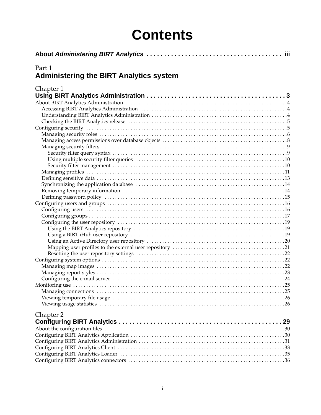### **Contents**

| -iii                                                     |
|----------------------------------------------------------|
| Part 1<br><b>Administering the BIRT Analytics system</b> |
| Chapter 1                                                |
|                                                          |
|                                                          |
|                                                          |
|                                                          |
|                                                          |
|                                                          |
|                                                          |
|                                                          |
|                                                          |
|                                                          |
|                                                          |
|                                                          |
|                                                          |
|                                                          |
|                                                          |
|                                                          |
|                                                          |
|                                                          |
|                                                          |
|                                                          |
|                                                          |
|                                                          |
|                                                          |
|                                                          |
|                                                          |
|                                                          |
|                                                          |
|                                                          |
|                                                          |
|                                                          |
|                                                          |
|                                                          |
|                                                          |
| Chapter 2                                                |
|                                                          |
|                                                          |
|                                                          |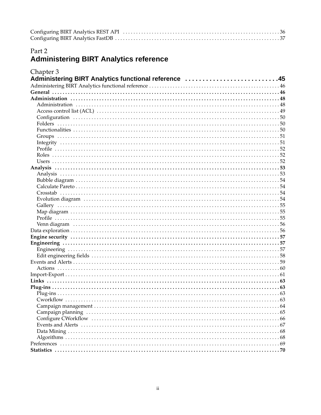#### Part 2

#### **Administering BIRT Analytics reference**

| Chapter 3                                            |  |
|------------------------------------------------------|--|
| Administering BIRT Analytics functional reference 45 |  |
|                                                      |  |
|                                                      |  |
|                                                      |  |
|                                                      |  |
|                                                      |  |
|                                                      |  |
|                                                      |  |
|                                                      |  |
|                                                      |  |
|                                                      |  |
|                                                      |  |
|                                                      |  |
|                                                      |  |
|                                                      |  |
|                                                      |  |
|                                                      |  |
|                                                      |  |
|                                                      |  |
|                                                      |  |
|                                                      |  |
|                                                      |  |
|                                                      |  |
|                                                      |  |
|                                                      |  |
|                                                      |  |
|                                                      |  |
|                                                      |  |
|                                                      |  |
|                                                      |  |
|                                                      |  |
|                                                      |  |
|                                                      |  |
|                                                      |  |
|                                                      |  |
|                                                      |  |
|                                                      |  |
|                                                      |  |
|                                                      |  |
|                                                      |  |
|                                                      |  |
|                                                      |  |
|                                                      |  |
|                                                      |  |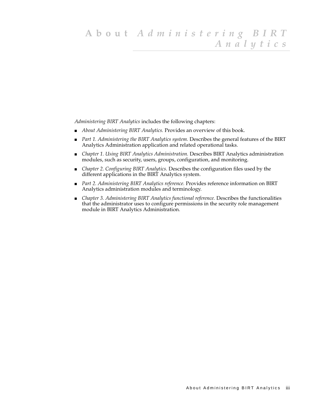<span id="page-4-0"></span>*Administering BIRT Analytics* includes the following chapters:

- *About Administering BIRT Analytics.* Provides an overview of this book.
- [Part 1. Administering the BIRT Analytics system.](#page-6-2) Describes the general features of the BIRT Analytics Administration application and related operational tasks.
- *[Chapter 1. Using BIRT Analytics Administration.](#page-8-2)* Describes BIRT Analytics administration modules, such as security, users, groups, configuration, and monitoring.
- *[Chapter 2. Configuring BIRT Analytics.](#page-34-2)* Describes the configuration files used by the different applications in the BIRT Analytics system.
- *[Part 2. Administering BIRT Analytics reference.](#page-48-2)* Provides reference information on BIRT Analytics administration modules and terminology.
- *[Chapter 3. Administering BIRT Analytics functional reference.](#page-50-2)* Describes the functionalities that the administrator uses to configure permissions in the security role management module in BIRT Analytics Administration.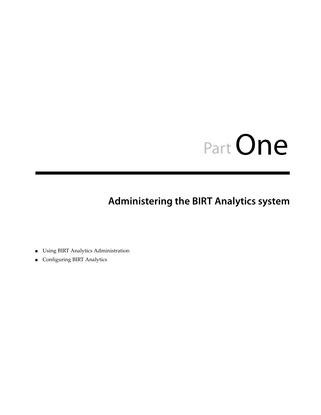# <span id="page-6-0"></span>PartOne**1**

#### <span id="page-6-2"></span>**Part 1Administering the BIRT Analytics system**

- <span id="page-6-1"></span>■ [Using BIRT Analytics Administration](#page-8-2)
- [Configuring BIRT Analytics](#page-34-2)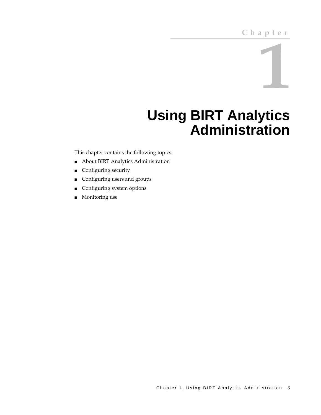# **1**

## <span id="page-8-2"></span><span id="page-8-0"></span>**Using BIRT Analytics Administration**

<span id="page-8-1"></span>This chapter contains the following topics:

- [About BIRT Analytics Administration](#page-9-0)
- [Configuring security](#page-10-1)
- [Configuring users and groups](#page-21-0)
- [Configuring system options](#page-27-1)
- [Monitoring use](#page-30-0)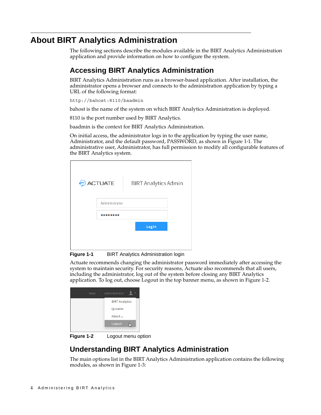#### <span id="page-9-0"></span>**About BIRT Analytics Administration**

The following sections describe the modules available in the BIRT Analytics Administration application and provide information on how to configure the system.

#### <span id="page-9-1"></span>**Accessing BIRT Analytics Administration**

BIRT Analytics Administration runs as a browser-based application. After installation, the administrator opens a browser and connects to the administration application by typing a URL of the following format:

http://bahost:8110/baadmin

bahost is the name of the system on which BIRT Analytics Administration is deployed.

8110 is the port number used by BIRT Analytics.

baadmin is the context for BIRT Analytics Administration.

On initial access, the administrator logs in to the application by typing the user name, Administrator, and the default password, PASSWORD, as shown in [Figure 1-1](#page-9-3). The administrative user, Administrator, has full permission to modify all configurable features of the BIRT Analytics system.

| € | <b>ACTUATE</b> | <b>BIRT Analytics Admin</b> |  |
|---|----------------|-----------------------------|--|
|   | Administrator  |                             |  |
|   |                |                             |  |
|   |                | Log In                      |  |
|   |                |                             |  |
|   |                |                             |  |

<span id="page-9-3"></span>**Figure 1-1** BIRT Analytics Administration login

Actuate recommends changing the administrator password immediately after accessing the system to maintain security. For security reasons, Actuate also recommends that all users, including the administrator, log out of the system before closing any BIRT Analytics application. To log out, choose Logout in the top banner menu, as shown in [Figure 1-2.](#page-9-4)

| Help | Administrator         |
|------|-----------------------|
|      | <b>BIRT Analytics</b> |
|      | OLoader               |
|      | About                 |
|      | Logout<br>IN.         |

<span id="page-9-4"></span>**Figure 1-2** Logout menu option

#### <span id="page-9-2"></span>**Understanding BIRT Analytics Administration**

The main options list in the BIRT Analytics Administration application contains the following modules, as shown in [Figure 1-3](#page-10-2):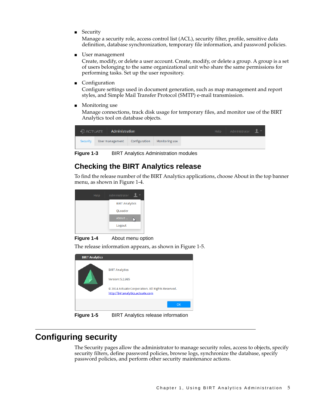■ Security

Manage a security role, access control list (ACL), security filter, profile, sensitive data definition, database synchronization, temporary file information, and password policies.

■ User management

Create, modify, or delete a user account. Create, modify, or delete a group. A group is a set of users belonging to the same organizational unit who share the same permissions for performing tasks. Set up the user repository.

**Configuration** 

Configure settings used in document generation, such as map management and report styles, and Simple Mail Transfer Protocol (SMTP) e-mail transmission.

Monitoring use

Manage connections, track disk usage for temporary files, and monitor use of the BIRT Analytics tool on database objects.



**Figure 1-3** BIRT Analytics Administration modules

#### <span id="page-10-2"></span><span id="page-10-0"></span>**Checking the BIRT Analytics release**

To find the release number of the BIRT Analytics applications, choose About in the top banner menu, as shown in [Figure 1-4](#page-10-3).

| Help | Administrator         |
|------|-----------------------|
|      | <b>BIRT Analytics</b> |
|      | OLoader               |
|      | About<br>D            |
|      | Logout                |
|      |                       |

<span id="page-10-3"></span>**Figure 1-4** About menu option

The release information appears, as shown in [Figure 1-5.](#page-10-4)

| <b>BIRT Analytics</b> |                                                                                                                                   |
|-----------------------|-----------------------------------------------------------------------------------------------------------------------------------|
|                       | <b>BIRT Analytics</b><br>Version: 5.2.985<br>© 2014 Actuate Corporation. All Rights Reserved.<br>http://birtanalytics.actuate.com |
|                       | OK                                                                                                                                |

<span id="page-10-4"></span>**Figure 1-5** BIRT Analytics release information

#### <span id="page-10-1"></span>**Configuring security**

The Security pages allow the administrator to manage security roles, access to objects, specify security filters, define password policies, browse logs, synchronize the database, specify password policies, and perform other security maintenance actions.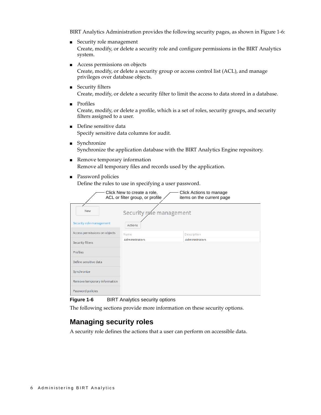BIRT Analytics Administration provides the following security pages, as shown in [Figure 1-6:](#page-11-1)

- Security role management Create, modify, or delete a security role and configure permissions in the BIRT Analytics system.
- Access permissions on objects Create, modify, or delete a security group or access control list (ACL), and manage privileges over database objects.
- Security filters Create, modify, or delete a security filter to limit the access to data stored in a database.
- Profiles

Create, modify, or delete a profile, which is a set of roles, security groups, and security filters assigned to a user.

- Define sensitive data Specify sensitive data columns for audit.
- Synchronize Synchronize the application database with the BIRT Analytics Engine repository.
- Remove temporary information Remove all temporary files and records used by the application.
- Password policies

Define the rules to use in specifying a user password.

|                                            | Click New to create a role,<br>ACL or filter group, or profile | Click Actions to manage<br>items on the current page |  |  |  |
|--------------------------------------------|----------------------------------------------------------------|------------------------------------------------------|--|--|--|
| <b>New</b><br>Security role management     |                                                                |                                                      |  |  |  |
| Security role management<br><b>Actions</b> |                                                                |                                                      |  |  |  |
| Access permissions on objects              | Name                                                           | Description                                          |  |  |  |
| Security filters                           | <b>Administrators</b>                                          | Administrators                                       |  |  |  |
| <b>Profiles</b>                            |                                                                |                                                      |  |  |  |
| Define sensitive data                      |                                                                |                                                      |  |  |  |
| Synchronize                                |                                                                |                                                      |  |  |  |
| Remove temporary information               |                                                                |                                                      |  |  |  |
| Password policies                          |                                                                |                                                      |  |  |  |

<span id="page-11-1"></span>**Figure 1-6** BIRT Analytics security options

The following sections provide more information on these security options.

#### <span id="page-11-0"></span>**Managing security roles**

A security role defines the actions that a user can perform on accessible data.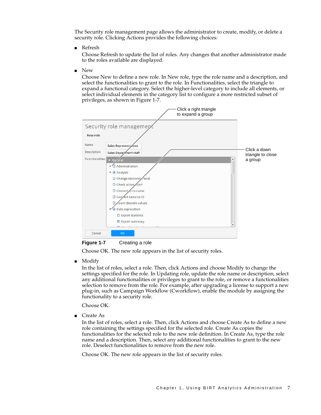The Security role management page allows the administrator to create, modify, or delete a security role. Clicking Actions provides the following choices:

■ Refresh

Choose Refresh to update the list of roles. Any changes that another administrator made to the roles available are displayed.

■ New

Choose New to define a new role. In New role, type the role name and a description, and select the functionalities to grant to the role. In Functionalities, select the triangle to expand a functional category. Select the higher-level category to include all elements, or select individual elements in the category list to configure a more restricted subset of privileges, as shown in [Figure 1-7](#page-12-0).



<span id="page-12-0"></span>**Figure 1-7** Creating a role

Choose OK. The new role appears in the list of security roles.

Modify

In the list of roles, select a role. Then, click Actions and choose Modify to change the settings specified for the role. In Updating role, update the role name or description, select any additional functionalities or privileges to grant to the role, or remove a functionalities selection to remove from the role. For example, after upgrading a license to support a new plug-in, such as Campaign Workflow (Cworkflow), enable the module by assigning the functionality to a security role.

Choose OK.

■ Create As

In the list of roles, select a role. Then, click Actions and choose Create As to define a new role containing the settings specified for the selected role. Create As copies the functionalities for the selected role to the new role definition. In Create As, type the role name and a description. Then, select any additional functionalities to grant to the new role. Deselect functionalities to remove from the new role.

Choose OK. The new role appears in the list of security roles.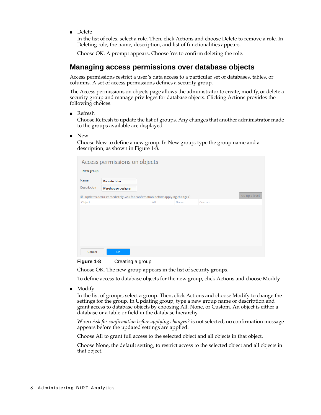■ Delete

In the list of roles, select a role. Then, click Actions and choose Delete to remove a role. In Deleting role, the name, description, and list of functionalities appears.

Choose OK. A prompt appears. Choose Yes to confirm deleting the role.

#### <span id="page-13-0"></span>**Managing access permissions over database objects**

Access permissions restrict a user's data access to a particular set of databases, tables, or columns. A set of access permissions defines a security group.

The Access permissions on objects page allows the administrator to create, modify, or delete a security group and manage privileges for database objects. Clicking Actions provides the following choices:

■ Refresh

Choose Refresh to update the list of groups. Any changes that another administrator made to the groups available are displayed.

■ New

Choose New to define a new group. In New group, type the group name and a description, as shown in [Figure 1-8.](#page-13-1)

|                  | Access permissions on objects                                              |     |      |        |               |
|------------------|----------------------------------------------------------------------------|-----|------|--------|---------------|
| <b>New group</b> |                                                                            |     |      |        |               |
| Name             | <b>Data Architect</b>                                                      |     |      |        |               |
| Description      | Warehouse designer                                                         |     |      |        |               |
|                  | ■ Updates occur immediately. Ask for confirmation before applying changes? |     |      |        | Go up a level |
| Object           |                                                                            | All | None | Custom |               |
|                  |                                                                            |     |      |        |               |
|                  |                                                                            |     |      |        |               |
|                  |                                                                            |     |      |        |               |
|                  |                                                                            |     |      |        |               |
|                  |                                                                            |     |      |        |               |
|                  |                                                                            |     |      |        |               |
| Cancel           | <b>OK</b>                                                                  |     |      |        |               |

<span id="page-13-1"></span>

Choose OK. The new group appears in the list of security groups.

To define access to database objects for the new group, click Actions and choose Modify.

■ Modify

In the list of groups, select a group. Then, click Actions and choose Modify to change the settings for the group. In Updating group, type a new group name or description and grant access to database objects by choosing All, None, or Custom. An object is either a database or a table or field in the database hierarchy.

When *Ask for confirmation before applying changes?* is not selected, no confirmation message appears before the updated settings are applied.

Choose All to grant full access to the selected object and all objects in that object.

Choose None, the default setting, to restrict access to the selected object and all objects in that object.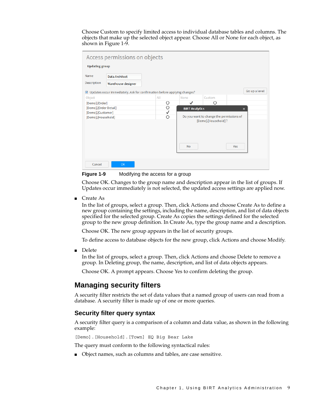Choose Custom to specify limited access to individual database tables and columns. The objects that make up the selected object appear. Choose All or None for each object, as shown in [Figure 1-9](#page-14-2).

| Access permissions on objects |                                                                            |         |                                          |                     |                           |
|-------------------------------|----------------------------------------------------------------------------|---------|------------------------------------------|---------------------|---------------------------|
| <b>Updating group</b>         |                                                                            |         |                                          |                     |                           |
| Name                          | <b>Data Architect</b>                                                      |         |                                          |                     |                           |
| Description                   | Warehouse designer                                                         |         |                                          |                     |                           |
|                               | ☑ Updates occur immediately. Ask for confirmation before applying changes? |         |                                          |                     | Go up a level             |
| Object                        |                                                                            | All     | None                                     | Custom              |                           |
| [Demo].[Order]                |                                                                            | Ο       |                                          | Ο                   |                           |
| [Demo].[Order Detail]         |                                                                            | $\circ$ | <b>BIRT Analytics</b>                    |                     | $\boldsymbol{\mathsf{x}}$ |
| [Demo].[Customer]             |                                                                            | ✓       |                                          |                     |                           |
| [Demo].[Household]            |                                                                            | $\circ$ | Do you want to change the permissions of |                     |                           |
|                               |                                                                            |         | <b>No</b>                                | [Demo].[Household]? | Yes                       |
|                               |                                                                            |         |                                          |                     |                           |
| Cancel                        | <b>OK</b>                                                                  |         |                                          |                     |                           |

<span id="page-14-2"></span>**Figure 1-9** Modifying the access for a group

Choose OK. Changes to the group name and description appear in the list of groups. If Updates occur immediately is not selected, the updated access settings are applied now.

■ Create As

In the list of groups, select a group. Then, click Actions and choose Create As to define a new group containing the settings, including the name, description, and list of data objects specified for the selected group. Create As copies the settings defined for the selected group to the new group definition. In Create As, type the group name and a description.

Choose OK. The new group appears in the list of security groups.

To define access to database objects for the new group, click Actions and choose Modify.

■ Delete

In the list of groups, select a group. Then, click Actions and choose Delete to remove a group. In Deleting group, the name, description, and list of data objects appears.

Choose OK. A prompt appears. Choose Yes to confirm deleting the group.

#### <span id="page-14-0"></span>**Managing security filters**

A security filter restricts the set of data values that a named group of users can read from a database. A security filter is made up of one or more queries.

#### <span id="page-14-1"></span>**Security filter query syntax**

A security filter query is a comparison of a column and data value, as shown in the following example:

[Demo].[Household].[Town] EQ Big Bear Lake

The query must conform to the following syntactical rules:

■ Object names, such as columns and tables, are case sensitive.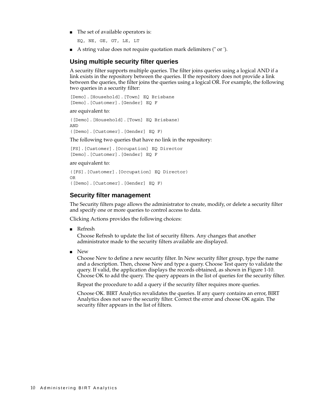■ The set of available operators is:

EQ, NE, GE, GT, LE, LT

■ A string value does not require quotation mark delimiters (" or ').

#### <span id="page-15-0"></span>**Using multiple security filter queries**

A security filter supports multiple queries. The filter joins queries using a logical AND if a link exists in the repository between the queries. If the repository does not provide a link between the queries, the filter joins the queries using a logical OR. For example, the following two queries in a security filter:

[Demo].[Household].[Town] EQ Brisbane [Demo].[Customer].[Gender] EQ F

are equivalent to:

([Demo].[Household].[Town] EQ Brisbane) AND ([Demo].[Customer].[Gender] EQ F)

The following two queries that have no link in the repository:

[FS].[Customer].[Occupation] EQ Director [Demo].[Customer].[Gender] EQ F

are equivalent to:

```
([FS].[Customer].[Occupation] EQ Director)
OR
([Demo].[Customer].[Gender] EQ F)
```
#### <span id="page-15-1"></span>**Security filter management**

The Security filters page allows the administrator to create, modify, or delete a security filter and specify one or more queries to control access to data.

Clicking Actions provides the following choices:

■ Refresh

Choose Refresh to update the list of security filters. Any changes that another administrator made to the security filters available are displayed.

■ New

Choose New to define a new security filter. In New security filter group, type the name and a description. Then, choose New and type a query. Choose Test query to validate the query. If valid, the application displays the records obtained, as shown in [Figure 1-10](#page-16-1). Choose OK to add the query. The query appears in the list of queries for the security filter.

Repeat the procedure to add a query if the security filter requires more queries.

Choose OK. BIRT Analytics revalidates the queries. If any query contains an error, BIRT Analytics does not save the security filter. Correct the error and choose OK again. The security filter appears in the list of filters.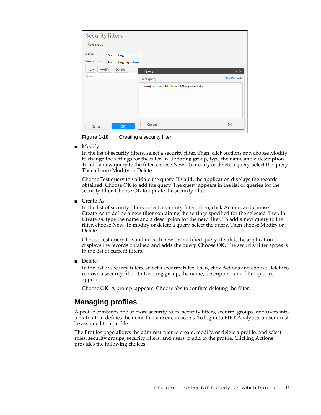| <b>Security filters</b> |                             |                                            |             |
|-------------------------|-----------------------------|--------------------------------------------|-------------|
| <b>New group</b>        |                             |                                            |             |
| Name                    | <b>Accounting</b>           |                                            |             |
| Description             | <b>Accounting Departmen</b> |                                            |             |
| Modify<br>New           | <b>Delete</b>               | Query                                      | $2 \times$  |
| Query                   |                             | <b>Test query</b>                          | 293 Records |
|                         |                             | [Demo].[Household].[Town] EQ Big Bear Lake |             |
|                         |                             |                                            |             |
|                         |                             |                                            |             |
|                         |                             |                                            |             |
|                         |                             |                                            |             |
| Cancel                  | <b>OK</b>                   | Cancel                                     | OK          |

<span id="page-16-1"></span>**Figure 1-10** Creating a security filter

■ Modify

In the list of security filters, select a security filter. Then, click Actions and choose Modify to change the settings for the filter. In Updating group, type the name and a description. To add a new query to the filter, choose New. To modify or delete a query, select the query. Then choose Modify or Delete.

Choose Test query to validate the query. If valid, the application displays the records obtained. Choose OK to add the query. The query appears in the list of queries for the security filter. Choose OK to update the security filter.

■ Create As

In the list of security filters, select a security filter. Then, click Actions and choose Create As to define a new filter containing the settings specified for the selected filter. In Create as, type the name and a description for the new filter. To add a new query to the filter, choose New. To modify or delete a query, select the query. Then choose Modify or Delete.

Choose Test query to validate each new or modified query. If valid, the application displays the records obtained and adds the query. Choose OK. The security filter appears in the list of current filters.

■ Delete

In the list of security filters, select a security filter. Then, click Actions and choose Delete to remove a security filter. In Deleting group, the name, description, and filter queries appear.

Choose OK. A prompt appears. Choose Yes to confirm deleting the filter.

#### <span id="page-16-0"></span>**Managing profiles**

A profile combines one or more security roles, security filters, security groups, and users into a matrix that defines the items that a user can access. To log in to BIRT Analytics, a user must be assigned to a profile.

The Profiles page allows the administrator to create, modify, or delete a profile, and select roles, security groups, security filters, and users to add to the profile. Clicking Actions provides the following choices: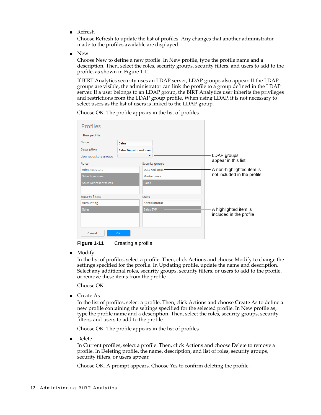■ Refresh

Choose Refresh to update the list of profiles. Any changes that another administrator made to the profiles available are displayed.

■ New

Choose New to define a new profile. In New profile, type the profile name and a description. Then, select the roles, security groups, security filters, and users to add to the profile, as shown in [Figure 1-11](#page-17-0).

If BIRT Analytics security uses an LDAP server, LDAP groups also appear. If the LDAP groups are visible, the administrator can link the profile to a group defined in the LDAP server. If a user belongs to an LDAP group, the BIRT Analytics user inherits the privileges and restrictions from the LDAP group profile. When using LDAP, it is not necessary to select users as the list of users is linked to the LDAP group.

| <b>Profiles</b>        |                        |                 |                             |
|------------------------|------------------------|-----------------|-----------------------------|
| <b>New profile</b>     |                        |                 |                             |
| Name                   | <b>Sales</b>           |                 |                             |
| Description            | Sales Department user: |                 |                             |
| User repository groups |                        |                 | LDAP groups                 |
| Roles                  |                        | Security groups | appear in this list         |
| Administrators         |                        | Data Architect  | A non-highlighted item is   |
| Sales Managers         | Master users           |                 | not included in the profile |
| Sales Representatives  | <b>Sales</b>           |                 |                             |
|                        |                        |                 |                             |
| Security filters       | <b>Users</b>           |                 |                             |
| Accounting             |                        | Administrator   |                             |
| <b>Sales</b>           | Sales SVP              |                 | A highlighted item is       |
|                        |                        |                 | included in the profile     |
|                        |                        |                 |                             |
|                        |                        |                 |                             |
| Cancel                 | <b>OK</b>              |                 |                             |

Choose OK. The profile appears in the list of profiles.

<span id="page-17-0"></span>**Figure 1-11** Creating a profile

■ Modify

In the list of profiles, select a profile. Then, click Actions and choose Modify to change the settings specified for the profile. In Updating profile, update the name and description. Select any additional roles, security groups, security filters, or users to add to the profile, or remove these items from the profile.

Choose OK.

■ Create As

In the list of profiles, select a profile. Then, click Actions and choose Create As to define a new profile containing the settings specified for the selected profile. In New profile as, type the profile name and a description. Then, select the roles, security groups, security filters, and users to add to the profile.

Choose OK. The profile appears in the list of profiles.

■ Delete

In Current profiles, select a profile. Then, click Actions and choose Delete to remove a profile. In Deleting profile, the name, description, and list of roles, security groups, security filters, or users appear.

Choose OK. A prompt appears. Choose Yes to confirm deleting the profile.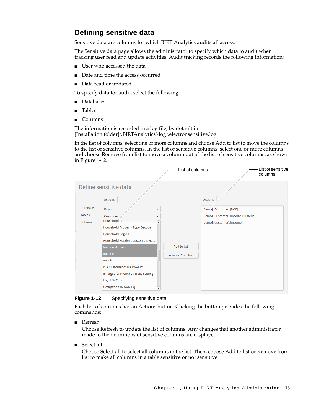#### <span id="page-18-0"></span>**Defining sensitive data**

Sensitive data are columns for which BIRT Analytics audits all access.

The Sensitive data page allows the administrator to specify which data to audit when tracking user read and update activities. Audit tracking records the following information:

- User who accessed the data
- Date and time the access occurred
- Data read or updated

To specify data for audit, select the following:

- Databases
- Tables
- Columns

The information is recorded in a log file, by default in: [Installation folder]\BIRTAnalytics\log\electronsensitive.log

In the list of columns, select one or more columns and choose Add to list to move the columns to the list of sensitive columns. In the list of sensitive columns, select one or more columns and choose Remove from list to move a column out of the list of sensitive columns, as shown in [Figure 1-12](#page-18-1).

|                  |                                                                                                                                                                         | List of columns         | List of sensitive<br>columns              |
|------------------|-------------------------------------------------------------------------------------------------------------------------------------------------------------------------|-------------------------|-------------------------------------------|
| <b>Databases</b> | Define sensitive data<br><b>Actions</b><br>Demo<br>$\overline{\phantom{a}}$                                                                                             |                         | <b>Actions</b><br>[Demo].[Customer].[DOB] |
| <b>Tables</b>    | Customer                                                                                                                                                                |                         | [Demo].[Customer].[Income Numeric]        |
| Columns          | HOUSENOID IV<br>$\blacktriangle$<br>Household Property Type Decode<br><b>Household Region</b><br>Household Resident Customers Nu                                        |                         | [Demo].[Customer].[Income]                |
|                  | <b>Income Numeric</b>                                                                                                                                                   | Add to list             |                                           |
|                  | Income                                                                                                                                                                  | <b>Remove from list</b> |                                           |
|                  | <b>Initials</b><br>Is A Customer of MA Products<br>Is target for M offer by cross-sellling<br>Loyal Or Churn<br><b>Occupation Decode EQ</b><br>$\overline{\phantom{a}}$ |                         |                                           |

<span id="page-18-1"></span>**Figure 1-12** Specifying sensitive data

Each list of columns has an Actions button. Clicking the button provides the following commands:

■ Refresh

Choose Refresh to update the list of columns. Any changes that another administrator made to the definitions of sensitive columns are displayed.

■ Select all

Choose Select all to select all columns in the list. Then, choose Add to list or Remove from list to make all columns in a table sensitive or not sensitive.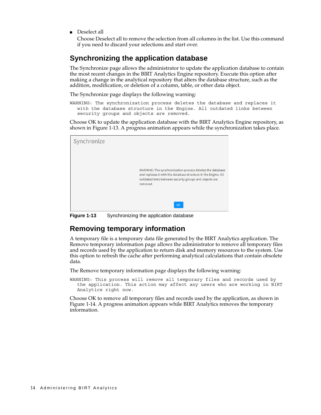■ Deselect all

Choose Deselect all to remove the selection from all columns in the list. Use this command if you need to discard your selections and start over.

#### <span id="page-19-0"></span>**Synchronizing the application database**

The Synchronize page allows the administrator to update the application database to contain the most recent changes in the BIRT Analytics Engine repository. Execute this option after making a change in the analytical repository that alters the database structure, such as the addition, modification, or deletion of a column, table, or other data object.

The Synchronize page displays the following warning:

WARNING: The synchronization process deletes the database and replaces it with the database structure in the Engine. All outdated links between security groups and objects are removed.

Choose OK to update the application database with the BIRT Analytics Engine repository, as shown in [Figure 1-13](#page-19-2). A progress animation appears while the synchronization takes place.



**Figure 1-13** Synchronizing the application database

#### <span id="page-19-2"></span><span id="page-19-1"></span>**Removing temporary information**

A temporary file is a temporary data file generated by the BIRT Analytics application. The Remove temporary information page allows the administrator to remove all temporary files and records used by the application to return disk and memory resources to the system. Use this option to refresh the cache after performing analytical calculations that contain obsolete data.

The Remove temporary information page displays the following warning:

WARNING: This process will remove all temporary files and records used by the application. This action may affect any users who are working in BIRT Analytics right now.

Choose OK to remove all temporary files and records used by the application, as shown in [Figure 1-14](#page-20-1). A progress animation appears while BIRT Analytics removes the temporary information.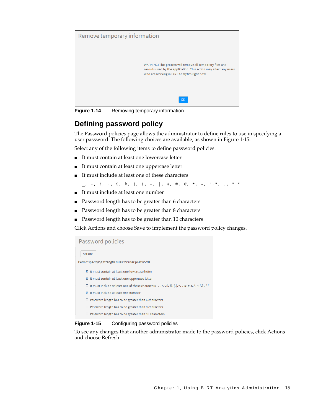

**Figure 1-14** Removing temporary information

#### <span id="page-20-1"></span><span id="page-20-0"></span>**Defining password policy**

The Password policies page allows the administrator to define rules to use in specifying a user password. The following choices are available, as shown in [Figure 1-15:](#page-20-2)

Select any of the following items to define password policies:

- It must contain at least one lowercase letter
- It must contain at least one uppercase letter
- It must include at least one of these characters

```
_, -, !, ·, $, %, (, ), =, |, @, #, €, *, ~, ",", ., " "
```
- It must include at least one number
- Password length has to be greater than 6 characters
- Password length has to be greater than 8 characters
- Password length has to be greater than 10 characters

Click Actions and choose Save to implement the password policy changes.

| <b>Actions</b>                                                                                               |
|--------------------------------------------------------------------------------------------------------------|
|                                                                                                              |
| Permit specifying strength rules for user passwords.                                                         |
| <b>Ø It must contain at least one lowercase letter</b>                                                       |
| It must contain at least one uppercase letter                                                                |
| □ It must include at least one of these characters _, -, !, ·, \$, %, (, ), =,  , @, #, €, *, ~, ",", ., " " |
| ☑ It must include at least one number                                                                        |
| Password length has to be greater than 6 characters<br>□                                                     |
| Password length has to be greater than 8 characters                                                          |
| Password length has to be greater than 10 characters<br>□                                                    |

<span id="page-20-2"></span>**Figure 1-15** Configuring password policies

To see any changes that another administrator made to the password policies, click Actions and choose Refresh.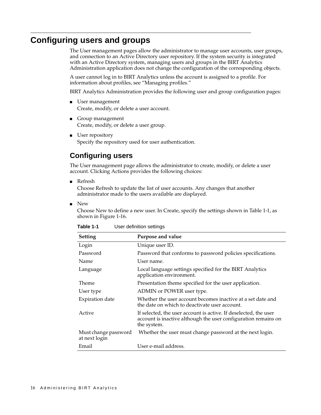#### <span id="page-21-0"></span>**Configuring users and groups**

The User management pages allow the administrator to manage user accounts, user groups, and connection to an Active Directory user repository. If the system security is integrated with an Active Directory system, managing users and groups in the BIRT Analytics Administration application does not change the configuration of the corresponding objects.

A user cannot log in to BIRT Analytics unless the account is assigned to a profile. For information about profiles, see ["Managing profiles."](#page-16-0)

BIRT Analytics Administration provides the following user and group configuration pages:

- User management Create, modify, or delete a user account.
- Group management Create, modify, or delete a user group.
- User repository Specify the repository used for user authentication.

#### <span id="page-21-1"></span>**Configuring users**

The User management page allows the administrator to create, modify, or delete a user account. Clicking Actions provides the following choices:

■ Refresh

Choose Refresh to update the list of user accounts. Any changes that another administrator made to the users available are displayed.

■ New

Choose New to define a new user. In Create, specify the settings shown in [Table 1-1](#page-21-2), as shown in [Figure 1-16.](#page-22-1)

| Setting                               | Purpose and value                                                                                                                                 |
|---------------------------------------|---------------------------------------------------------------------------------------------------------------------------------------------------|
| Login                                 | Unique user ID.                                                                                                                                   |
| Password                              | Password that conforms to password policies specifications.                                                                                       |
| Name                                  | User name.                                                                                                                                        |
| Language                              | Local language settings specified for the BIRT Analytics<br>application environment.                                                              |
| <b>Theme</b>                          | Presentation theme specified for the user application.                                                                                            |
| User type                             | ADMIN or POWER user type.                                                                                                                         |
| Expiration date                       | Whether the user account becomes inactive at a set date and<br>the date on which to deactivate user account.                                      |
| Active                                | If selected, the user account is active. If deselected, the user<br>account is inactive although the user configuration remains on<br>the system. |
| Must change password<br>at next login | Whether the user must change password at the next login.                                                                                          |
| Email                                 | User e-mail address.                                                                                                                              |

<span id="page-21-2"></span>

| Table 1-1 | User definition settings |  |
|-----------|--------------------------|--|
|           |                          |  |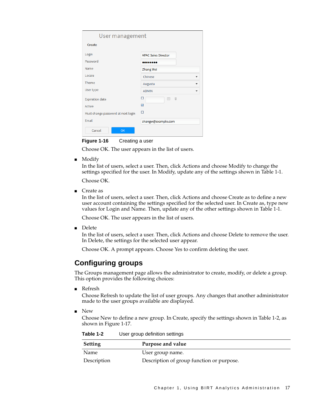| User management                    |                                                                     |  |  |  |
|------------------------------------|---------------------------------------------------------------------|--|--|--|
| Create                             |                                                                     |  |  |  |
| Login                              | <b>APAC Sales Director</b>                                          |  |  |  |
| Password                           |                                                                     |  |  |  |
| Name                               | Zhang Wei                                                           |  |  |  |
| Locale                             | Chinese                                                             |  |  |  |
| Theme                              | Augusta                                                             |  |  |  |
| User type                          | <b>ADMIN</b>                                                        |  |  |  |
| <b>Expiration date</b><br>Active   | 一音<br>$\begin{bmatrix} 31 \end{bmatrix}$<br>$\overline{\mathbf{v}}$ |  |  |  |
| Must change password at next login | п                                                                   |  |  |  |
| Email                              | zhangw@example.com                                                  |  |  |  |
| Cancel<br><b>OK</b>                |                                                                     |  |  |  |

<span id="page-22-1"></span>**Figure 1-16** Creating a user

Choose OK. The user appears in the list of users.

■ Modify

In the list of users, select a user. Then, click Actions and choose Modify to change the settings specified for the user. In Modify, update any of the settings shown in [Table 1-1](#page-21-2).

Choose OK.

■ Create as

In the list of users, select a user. Then, click Actions and choose Create as to define a new user account containing the settings specified for the selected user. In Create as, type new values for Login and Name. Then, update any of the other settings shown in [Table 1-1.](#page-21-2)

Choose OK. The user appears in the list of users.

■ Delete

In the list of users, select a user. Then, click Actions and choose Delete to remove the user. In Delete, the settings for the selected user appear.

Choose OK. A prompt appears. Choose Yes to confirm deleting the user.

#### <span id="page-22-0"></span>**Configuring groups**

The Groups management page allows the administrator to create, modify, or delete a group. This option provides the following choices:

■ Refresh

Choose Refresh to update the list of user groups. Any changes that another administrator made to the user groups available are displayed.

■ New

Choose New to define a new group. In Create, specify the settings shown in [Table 1-2,](#page-22-2) as shown in [Figure 1-17.](#page-23-0)

<span id="page-22-2"></span>**Table 1-2** User group definition settings

| <b>Setting</b> | Purpose and value                         |
|----------------|-------------------------------------------|
| Name           | User group name.                          |
| Description    | Description of group function or purpose. |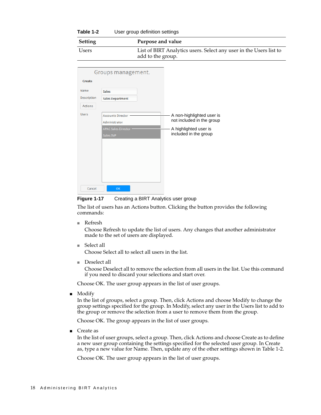| Table 1-2 | User group definition settings |
|-----------|--------------------------------|
|-----------|--------------------------------|

| Setting | Purpose and value                                                                       |
|---------|-----------------------------------------------------------------------------------------|
| Users   | List of BIRT Analytics users. Select any user in the Users list to<br>add to the group. |

|                | Groups management.       |                           |
|----------------|--------------------------|---------------------------|
| Create         |                          |                           |
| Name           | <b>Sales</b>             |                           |
| Description    | <b>Sales Department</b>  |                           |
| <b>Actions</b> |                          |                           |
| <b>Users</b>   | <b>Accounts Director</b> | A non-highlighted user is |
|                | Administrator            | not included in the group |
|                | APAC Sales Director      | A highlighted user is     |
|                | Sales SVP                | included in the group     |
|                |                          |                           |
|                |                          |                           |
|                |                          |                           |
|                |                          |                           |
|                |                          |                           |
|                |                          |                           |
|                |                          |                           |
| Cancel         | OK                       |                           |

<span id="page-23-0"></span>**Figure 1-17** Creating a BIRT Analytics user group

The list of users has an Actions button. Clicking the button provides the following commands:

■ Refresh

Choose Refresh to update the list of users. Any changes that another administrator made to the set of users are displayed.

■ Select all

Choose Select all to select all users in the list.

■ Deselect all

Choose Deselect all to remove the selection from all users in the list. Use this command if you need to discard your selections and start over.

Choose OK. The user group appears in the list of user groups.

■ Modify

In the list of groups, select a group. Then, click Actions and choose Modify to change the group settings specified for the group. In Modify, select any user in the Users list to add to the group or remove the selection from a user to remove them from the group.

Choose OK. The group appears in the list of user groups.

■ Create as

In the list of user groups, select a group. Then, click Actions and choose Create as to define a new user group containing the settings specified for the selected user group. In Create as, type a new value for Name. Then, update any of the other settings shown in [Table 1-2](#page-22-2).

Choose OK. The user group appears in the list of user groups.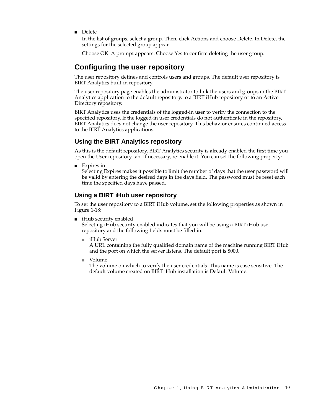■ Delete

In the list of groups, select a group. Then, click Actions and choose Delete. In Delete, the settings for the selected group appear.

Choose OK. A prompt appears. Choose Yes to confirm deleting the user group.

#### <span id="page-24-0"></span>**Configuring the user repository**

The user repository defines and controls users and groups. The default user repository is BIRT Analytics built-in repository.

The user repository page enables the administrator to link the users and groups in the BIRT Analytics application to the default repository, to a BIRT iHub repository or to an Active Directory repository.

BIRT Analytics uses the credentials of the logged-in user to verify the connection to the specified repository. If the logged-in user credentials do not authenticate in the repository, BIRT Analytics does not change the user repository. This behavior ensures continued access to the BIRT Analytics applications.

#### <span id="page-24-1"></span>**Using the BIRT Analytics repository**

As this is the default repository, BIRT Analytics security is already enabled the first time you open the User repository tab. If necessary, re-enable it. You can set the following property:

■ Expires in

Selecting Expires makes it possible to limit the number of days that the user password will be valid by entering the desired days in the days field. The password must be reset each time the specified days have passed.

#### <span id="page-24-2"></span>**Using a BIRT iHub user repository**

To set the user repository to a BIRT iHub volume, set the following properties as shown in [Figure 1-18](#page-25-1):

■ iHub security enabled

Selecting iHub security enabled indicates that you will be using a BIRT iHub user repository and the following fields must be filled in:

■ iHub Server

A URL containing the fully qualified domain name of the machine running BIRT iHub and the port on which the server listens. The default port is 8000.

■ Volume

The volume on which to verify the user credentials. This name is case sensitive. The default volume created on BIRT iHub installation is Default Volume.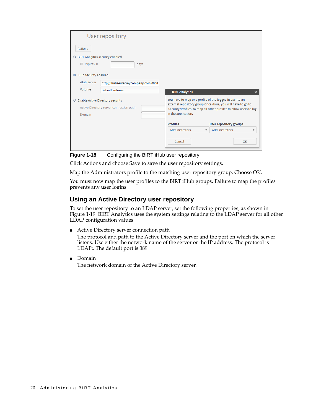|                                                   | User repository                      |                                                                                                                                     |                                                         |                                            |
|---------------------------------------------------|--------------------------------------|-------------------------------------------------------------------------------------------------------------------------------------|---------------------------------------------------------|--------------------------------------------|
| <b>Actions</b>                                    |                                      |                                                                                                                                     |                                                         |                                            |
| <b>BIRT Analytics security enabled</b><br>$\circ$ |                                      |                                                                                                                                     |                                                         |                                            |
| $\Box$ Expires in                                 |                                      | days                                                                                                                                |                                                         |                                            |
| <b>O</b> iHub security enabled                    |                                      |                                                                                                                                     |                                                         |                                            |
| <b>iHub Server</b>                                | http://ihubserver.mycompany.com:8000 |                                                                                                                                     |                                                         |                                            |
| Volume                                            | Default Volume                       |                                                                                                                                     | <b>BIRT Analytics</b>                                   | $\boldsymbol{\mathsf{x}}$                  |
| O Enable Active Directory security                |                                      |                                                                                                                                     | You have to map one profile of the logged in user to an |                                            |
| Active Directory server connection path           |                                      | external repository group. Once done, you will have to go to<br>'Security/Profiles' to map all other profiles to allow users to log |                                                         |                                            |
| Domain                                            |                                      | in the application.                                                                                                                 |                                                         |                                            |
|                                                   |                                      |                                                                                                                                     | <b>Profiles</b>                                         | <b>User repository groups</b>              |
|                                                   |                                      |                                                                                                                                     | Administrators<br>$\overline{\phantom{a}}$              | Administrators<br>$\overline{\phantom{a}}$ |
|                                                   |                                      |                                                                                                                                     | Cancel                                                  | OK                                         |

<span id="page-25-1"></span>**Figure 1-18** Configuring the BIRT iHub user repository

Click Actions and choose Save to save the user repository settings.

Map the Administrators profile to the matching user repository group. Choose OK.

You must now map the user profiles to the BIRT iHub groups. Failure to map the profiles prevents any user logins.

#### <span id="page-25-0"></span>**Using an Active Directory user repository**

To set the user repository to an LDAP server, set the following properties, as shown in [Figure 1-19](#page-26-1). BIRT Analytics uses the system settings relating to the LDAP server for all other LDAP configuration values.

■ Active Directory server connection path

The protocol and path to the Active Directory server and the port on which the server listens. Use either the network name of the server or the IP address. The protocol is LDAP:. The default port is 389.

■ Domain The network domain of the Active Directory server.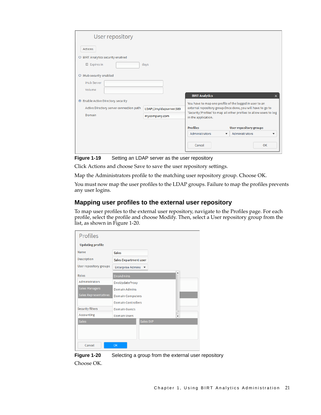| User repository                         |                         |                                                         |                                                                     |
|-----------------------------------------|-------------------------|---------------------------------------------------------|---------------------------------------------------------------------|
| <b>Actions</b>                          |                         |                                                         |                                                                     |
| O BIRT Analytics security enabled       |                         |                                                         |                                                                     |
| $\Box$ Expires in                       | days                    |                                                         |                                                                     |
| O iHub security enabled                 |                         |                                                         |                                                                     |
| iHub Server                             |                         |                                                         |                                                                     |
| Volume                                  |                         |                                                         |                                                                     |
|                                         |                         | <b>BIRT Analytics</b>                                   | ×                                                                   |
| <b>Enable Active Directory security</b> |                         | You have to map one profile of the logged in user to an |                                                                     |
| Active Directory server connection path | LDAP://myldapserver:389 |                                                         | external repository group. Once done, you will have to go to        |
| Domain                                  | mycompany.com           | in the application.                                     | 'Security/Profiles' to map all other profiles to allow users to log |
|                                         |                         |                                                         |                                                                     |
|                                         |                         | <b>Profiles</b>                                         | <b>User repository groups</b>                                       |
|                                         |                         | Administrators<br>$\overline{\mathbf{v}}$               | Administrators<br>$\overline{\phantom{a}}$                          |
|                                         |                         | Cancel                                                  | OK                                                                  |

<span id="page-26-1"></span>**Figure 1-19** Setting an LDAP server as the user repository

Click Actions and choose Save to save the user repository settings.

Map the Administrators profile to the matching user repository group. Choose OK.

You must now map the user profiles to the LDAP groups. Failure to map the profiles prevents any user logins.

#### <span id="page-26-0"></span>**Mapping user profiles to the external user repository**

To map user profiles to the external user repository, navigate to the Profiles page. For each profile, select the profile and choose Modify. Then, select a User repository group from the list, as shown in [Figure 1-20](#page-26-2).

| <b>Profiles</b>         |                                                    |
|-------------------------|----------------------------------------------------|
| <b>Updating profile</b> |                                                    |
| Name                    | <b>Sales</b>                                       |
| Description             | Sales Department user:                             |
| User repository groups  | <b>Enterprise Admins</b><br>$\overline{\mathbf v}$ |
| Roles                   | $\blacktriangle$<br><b>DnsAdmins</b>               |
| Administrators          | DnsUpdateProxy                                     |
| Sales Managers          | Domain Admins                                      |
| Sales Representatives   | <b>Domain Computers</b>                            |
|                         | <b>Domain Controllers</b>                          |
| <b>Security filters</b> | <b>Domain Guests</b><br>۰                          |
| Accounting              | <b>Domain Users</b><br>۰                           |
| <b>Sales</b>            | Sales SVP                                          |
|                         |                                                    |
|                         |                                                    |
| Cancel                  | OK                                                 |

<span id="page-26-2"></span>**Figure 1-20** Selecting a group from the external user repository

Choose OK.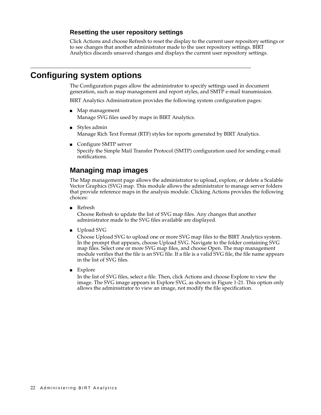#### <span id="page-27-0"></span>**Resetting the user repository settings**

Click Actions and choose Refresh to reset the display to the current user repository settings or to see changes that another administrator made to the user repository settings. BIRT Analytics discards unsaved changes and displays the current user repository settings.

#### <span id="page-27-1"></span>**Configuring system options**

The Configuration pages allow the administrator to specify settings used in document generation, such as map management and report styles, and SMTP e-mail transmission.

BIRT Analytics Administration provides the following system configuration pages:

- Map management Manage SVG files used by maps in BIRT Analytics.
- Styles admin Manage Rich Text Format (RTF) styles for reports generated by BIRT Analytics.
- Configure SMTP server Specify the Simple Mail Transfer Protocol (SMTP) configuration used for sending e-mail notifications.

#### <span id="page-27-2"></span>**Managing map images**

The Map management page allows the administrator to upload, explore, or delete a Scalable Vector Graphics (SVG) map. This module allows the administrator to manage server folders that provide reference maps in the analysis module. Clicking Actions provides the following choices:

■ Refresh

Choose Refresh to update the list of SVG map files. Any changes that another administrator made to the SVG files available are displayed.

■ Upload SVG

Choose Upload SVG to upload one or more SVG map files to the BIRT Analytics system. In the prompt that appears, choose Upload SVG. Navigate to the folder containing SVG map files. Select one or more SVG map files, and choose Open. The map management module verifies that the file is an SVG file. If a file is a valid SVG file, the file name appears in the list of SVG files.

■ Explore

In the list of SVG files, select a file. Then, click Actions and choose Explore to view the image. The SVG image appears in Explore SVG, as shown in [Figure 1-21.](#page-28-1) This option only allows the administrator to view an image, not modify the file specification.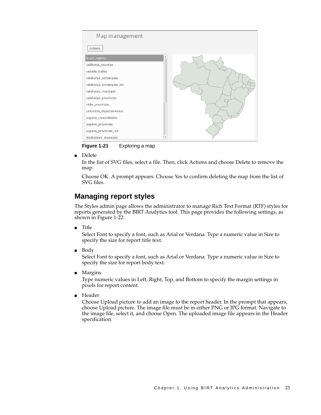

<span id="page-28-1"></span>**Figure 1-21** Exploring a map

■ Delete

In the list of SVG files, select a file. Then, click Actions and choose Delete to remove the map.

Choose OK. A prompt appears. Choose Yes to confirm deleting the map from the list of SVG files.

#### <span id="page-28-0"></span>**Managing report styles**

The Styles admin page allows the administrator to manage Rich Text Format (RTF) styles for reports generated by the BIRT Analytics tool. This page provides the following settings, as shown in [Figure 1-22:](#page-29-1)

■ Title

Select Font to specify a font, such as Arial or Verdana. Type a numeric value in Size to specify the size for report title text.

**Body** 

Select Font to specify a font, such as Arial or Verdana. Type a numeric value in Size to specify the size for report body text.

■ Margins

Type numeric values in Left, Right, Top, and Bottom to specify the margin settings in pixels for report content.

■ Header

Choose Upload picture to add an image to the report header. In the prompt that appears, choose Upload picture. The image file must be in either PNG or JPG format. Navigate to the image file, select it, and choose Open. The uploaded image file appears in the Header specification.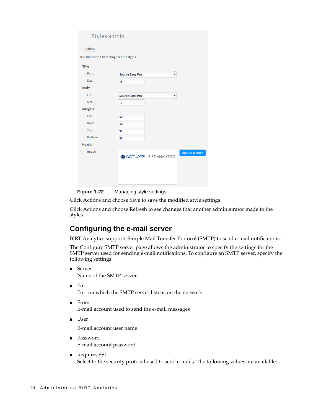| Styles admin                             |                                  |                |
|------------------------------------------|----------------------------------|----------------|
| <b>Actions</b>                           |                                  |                |
| Use this option to manage report styles. |                                  |                |
| <b>Title</b>                             |                                  |                |
| Font                                     | <b>Source Sans Pro</b>           | ▼              |
| Size                                     | 18                               |                |
| <b>Body</b>                              |                                  |                |
| Font                                     | <b>Source Sans Pro</b>           | ▼              |
| Size                                     | 12                               |                |
| <b>Margins</b>                           |                                  |                |
| Left                                     | 50                               |                |
| Right                                    | 50                               |                |
| Top                                      | 35                               |                |
| <b>Bottom</b>                            | 35                               |                |
| <b>Header</b>                            |                                  |                |
| Image                                    | <b>ACTUATE.</b>   BIRT ANALYTICS | Upload picture |

<span id="page-29-1"></span>**Figure 1-22** Managing style settings

Click Actions and choose Save to save the modified style settings.

Click Actions and choose Refresh to see changes that another administrator made to the styles.

#### <span id="page-29-0"></span>**Configuring the e-mail server**

BIRT Analytics supports Simple Mail Transfer Protocol (SMTP) to send e-mail notifications.

The Configure SMTP server page allows the administrator to specify the settings for the SMTP server used for sending e-mail notifications. To configure an SMTP server, specify the following settings:

- Server Name of the SMTP server
- Port Port on which the SMTP server listens on the network
- From

E-mail account used to send the e-mail messages

■ User

E-mail account user name

- Password E-mail account password
- Requires SSL Select to the security protocol used to send e-mails. The following values are available: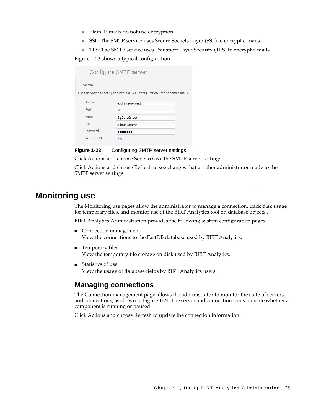- Plain: E-mails do not use encryption.
- SSL: The SMTP service uses Secure Sockets Layer (SSL) to encrypt e-mails.
- TLS: The SMTP service uses Transport Layer Security (TLS) to encrypt e-mails.

[Figure 1-23](#page-30-2) shows a typical configuration.

|                                                                                 | Configure SMTP server |  |  |
|---------------------------------------------------------------------------------|-----------------------|--|--|
| <b>Actions</b>                                                                  |                       |  |  |
| Use this option to set up the internal SMTP configuration used to send e-mails. |                       |  |  |
| Server                                                                          | exchangeserver1       |  |  |
| Port                                                                            | 25                    |  |  |
| From                                                                            | BigDataServer         |  |  |
| <b>User</b>                                                                     | Administrator         |  |  |
| Password                                                                        |                       |  |  |
| <b>Requires SSL</b>                                                             | <b>SSL</b>            |  |  |

<span id="page-30-2"></span>**Figure 1-23** Configuring SMTP server settings

Click Actions and choose Save to save the SMTP server settings.

Click Actions and choose Refresh to see changes that another administrator made to the SMTP server settings.

#### <span id="page-30-0"></span>**Monitoring use**

The Monitoring use pages allow the administrator to manage a connection, track disk usage for temporary files, and monitor use of the BIRT Analytics tool on database objects,.

BIRT Analytics Administration provides the following system configuration pages:

- Connection management View the connections to the FastDB database used by BIRT Analytics.
- Temporary files View the temporary file storage on disk used by BIRT Analytics.
- Statistics of use View the usage of database fields by BIRT Analytics users.

#### <span id="page-30-1"></span>**Managing connections**

The Connection management page allows the administrator to monitor the state of servers and connections, as shown in [Figure 1-24.](#page-31-2) The server and connection icons indicate whether a component is running or paused.

Click Actions and choose Refresh to update the connection information.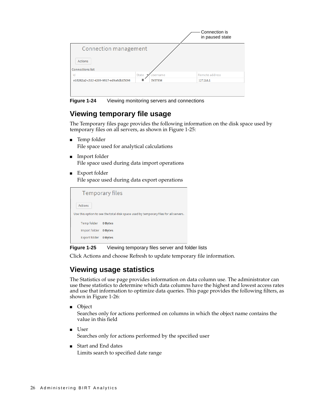|                                           |       |               | Connection is<br>in paused state |
|-------------------------------------------|-------|---------------|----------------------------------|
| Connection management                     |       |               |                                  |
| <b>Actions</b><br><b>Connections list</b> |       |               |                                  |
| Id                                        | State | Username      | Remote address                   |
| e16282a2-c532-4209-9617-ed9a6db05096      | п     | <b>SYSTEM</b> | 127.0.0.1                        |
|                                           |       |               |                                  |

<span id="page-31-2"></span>**Figure 1-24** Viewing monitoring servers and connections

#### <span id="page-31-0"></span>**Viewing temporary file usage**

The Temporary files page provides the following information on the disk space used by temporary files on all servers, as shown in [Figure 1-25](#page-31-3):

- Temp folder File space used for analytical calculations
- Import folder File space used during data import operations
- Export folder File space used during data export operations

|                       | <b>Temporary files</b>                                                               |
|-----------------------|--------------------------------------------------------------------------------------|
| <b>Actions</b>        |                                                                                      |
|                       | Use this option to see the total disk space used by temporary files for all servers. |
| Temp folder           | 0 Bytes                                                                              |
| Import folder 0 Bytes |                                                                                      |
| Export folder         | 0 Bytes                                                                              |
|                       |                                                                                      |

<span id="page-31-3"></span>**Figure 1-25** Viewing temporary files server and folder lists

Click Actions and choose Refresh to update temporary file information.

#### <span id="page-31-1"></span>**Viewing usage statistics**

The Statistics of use page provides information on data column use. The administrator can use these statistics to determine which data columns have the highest and lowest access rates and use that information to optimize data queries. This page provides the following filters, as shown in [Figure 1-26:](#page-32-0)

■ Object

Searches only for actions performed on columns in which the object name contains the value in this field

- User Searches only for actions performed by the specified user
- Start and End dates Limits search to specified date range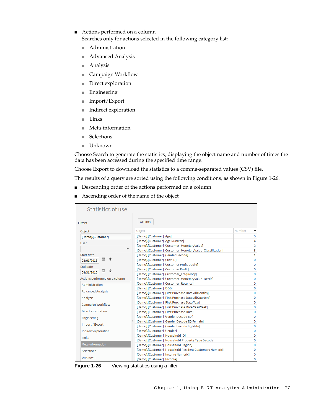- Actions performed on a column Searches only for actions selected in the following category list:
	- Administration
	- Advanced Analysis
	- Analysis
	- Campaign Workflow
	- Direct exploration
	- Engineering
	- Import/Export
	- Indirect exploration
	- Links
	- Meta-information
	- Selections
	- Unknown

Choose Search to generate the statistics, displaying the object name and number of times the data has been accessed during the specified time range.

Choose Export to download the statistics to a comma-separated values (CSV) file.

The results of a query are sorted using the following conditions, as shown in [Figure 1-26](#page-32-0):

- Descending order of the actions performed on a column
- Ascending order of the name of the object

| <b>Statistics of use</b>      |                                                           |              |
|-------------------------------|-----------------------------------------------------------|--------------|
| <b>Filters</b>                | <b>Actions</b>                                            |              |
| Object                        | Object                                                    | Number       |
| [Demo].[Customer]             | [Demo].[Customer].[Age]                                   | 5            |
| <b>User</b>                   | [Demo].[Customer].[Age Numeric]                           | 4            |
|                               | [Demo].[Customer].[Customer MonetaryValue]                | 3            |
| ▼                             | [Demo].[Customer].[Customer MonetaryValue Classification] | 3            |
| Start date                    | [Demo].[Customer].[Gender Decode]                         | $\mathbf{1}$ |
| 団<br>ũ<br>08/01/2015          | [Demo].[Customer].[Cust ID]                               | Ō            |
| <b>End date</b>               | [Demo].[Customer].[Customer Profit Decile]                | 0            |
| $\frac{31}{21}$<br>÷          | [Demo].[Customer].[Customer Profit]                       | 0            |
| 08/31/2015                    | [Demo].[Customer].[Customer Frequency]                    | Ō            |
| Actions performed on a column | [Demo].[Customer].[Customer_MonetaryValue_Decile]         | Ō            |
| Administration                | [Demo].[Customer].[Customer_Recency]                      | 0            |
|                               | [Demo].[Customer].[DOB]                                   | 0            |
| <b>Advanced Analysis</b>      | [Demo].[Customer].[First Purchase Date AllMonths]         | 0            |
| Analysis                      | [Demo].[Customer].[First Purchase Date AllQuarters]       | Ō            |
|                               | [Demo].[Customer].[First Purchase Date Year]              | 0            |
| Campaign Workflow             | [Demo].[Customer].[First Purchase Date YearWeek]          | 0            |
| Direct exploration            | [Demo].[Customer].[First Purchase Date]                   | 0            |
| Engineering                   | [Demo].[Customer].[Gender Decode EO]                      | 0            |
|                               | [Demo].[Customer].[Gender Decode EQ Female]               | 0            |
| Import / Export               | [Demo].[Customer].[Gender Decode EQ Male]                 | 0            |
| Indirect exploration          | [Demo].[Customer].[Gender]                                | 0            |
| <b>Links</b>                  | [Demo].[Customer].[Household ID]                          | 0            |
|                               | [Demo].[Customer].[Household Property Type Decode]        | Ō            |
| Meta-information              | [Demo].[Customer].[Household Region]                      | Ō            |
| <b>Selections</b>             | [Demo].[Customer].[Household Resident Customers Numeric]  | Ō            |
|                               | [Demo].[Customer].[Income Numeric]                        | 0            |
| Unknown                       | [Demo].[Customer].[Income]                                | 0            |

<span id="page-32-0"></span>**Figure 1-26** Viewing statistics using a filter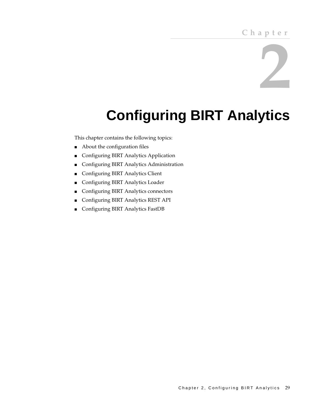# **2**

# <span id="page-34-2"></span><span id="page-34-0"></span>**Configuring BIRT Analytics**

<span id="page-34-1"></span>This chapter contains the following topics:

- [About the configuration files](#page-35-0)
- [Configuring BIRT Analytics Application](#page-35-1)
- [Configuring BIRT Analytics Administration](#page-36-0)
- [Configuring BIRT Analytics Client](#page-38-0)
- [Configuring BIRT Analytics Loader](#page-40-0)
- [Configuring BIRT Analytics connectors](#page-41-0)
- [Configuring BIRT Analytics REST API](#page-41-1)
- [Configuring BIRT Analytics FastDB](#page-42-0)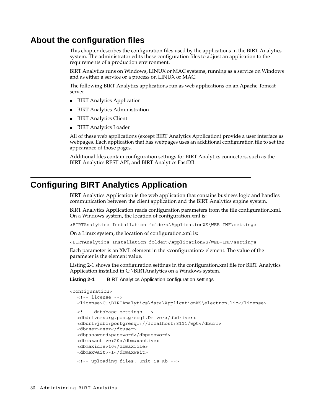#### <span id="page-35-0"></span>**About the configuration files**

This chapter describes the configuration files used by the applications in the BIRT Analytics system. The administrator edits these configuration files to adjust an application to the requirements of a production environment.

BIRT Analytics runs on Windows, LINUX or MAC systems, running as a service on Windows and as either a service or a process on LINUX or MAC.

The following BIRT Analytics applications run as web applications on an Apache Tomcat server.

- BIRT Analytics Application
- **BIRT Analytics Administration**
- BIRT Analytics Client
- BIRT Analytics Loader

All of these web applications (except BIRT Analytics Application) provide a user interface as webpages. Each application that has webpages uses an additional configuration file to set the appearance of those pages.

Additional files contain configuration settings for BIRT Analytics connectors, such as the BIRT Analytics REST API, and BIRT Analytics FastDB.

#### <span id="page-35-1"></span>**Configuring BIRT Analytics Application**

BIRT Analytics Application is the web application that contains business logic and handles communication between the client application and the BIRT Analytics engine system.

BIRT Analytics Application reads configuration parameters from the file configuration.xml. On a Windows system, the location of configuration.xml is:

<BIRTAnalytics Installation folder>\ApplicationWS\WEB-INF\settings

On a Linux system, the location of configuration.xml is:

<BIRTAnalytics Installation folder>/ApplicationWS/WEB-INF/settings

Each parameter is an XML element in the <configuration> element. The value of the parameter is the element value.

[Listing 2-1](#page-35-2) shows the configuration settings in the configuration.xml file for BIRT Analytics Application installed in C:\BIRTAnalytics on a Windows system.

#### <span id="page-35-2"></span>**Listing 2-1** BIRT Analytics Application configuration settings

```
<configuration>
```

```
<!-- license -->
<license>C:\BIRTAnalytics\data\ApplicationWS\electron.lic</license>
<!-- database settings -->
<dbdriver>org.postgresql.Driver</dbdriver>
<dburl>jdbc:postgresql://localhost:8111/wpt</dburl>
<dbuser>user</dbuser>
<dbpassword>password</dbpassword>
<dbmaxactive>20</dbmaxactive>
<dbmaxidle>10</dbmaxidle>
<dbmaxwait>-1</dbmaxwait>
<!-- uploading files. Unit is Kb -->
```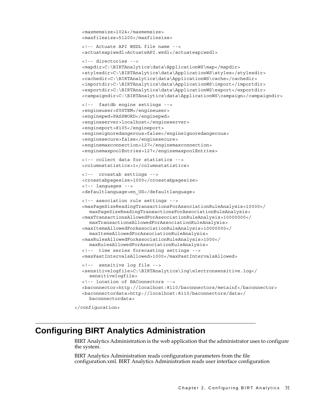```
<maxmemsize>1024</maxmemsize>
  <maxfilesize>51200</maxfilesize>
  <!-- Actuate API WSDL file name -->
  <actuateapiwsdl>ActuateAPI.wsdl</actuateapiwsdl>
  <!-- directories -->
  <mapdir>C:\BIRTAnalytics\data\ApplicationWS\map</mapdir>
  <stylesdir>C:\BIRTAnalytics\data\ApplicationWS\styles</stylesdir>
  <cachedir>C:\BIRTAnalytics\data\ApplicationWS\cache</cachedir>
  <importdir>C:\BIRTAnalytics\data\ApplicationWS\import</importdir>
  <exportdir>C:\BIRTAnalytics\data\ApplicationWS\export</exportdir>
  <campaigndir>C:\BIRTAnalytics\data\ApplicationWS\campaign</campaigndir> 
  <!-- fastdb engine settings -->
  <engineuser>SYSTEM</engineuser>
  <enginepwd>PASSWORD</enginepwd> 
  <engineserver>localhost</engineserver>
  <engineport>8105</engineport>
  <engineignoredangerous>false</engineignoredangerous> 
  <enginesecure>false</enginesecure> 
  <enginemaxconnection>127</enginemaxconnection>
  <enginemaxpoolEntries>127</enginemaxpoolEntries>
  <!-- collect data for statistics -->
  <columnstatistics>1</columnstatistics>
  <!-- crosstab settings -->
  <crosstabpagesize>1000</crosstabpagesize>
  <!-- languages -->
  <defaultlanguage>en_US</defaultlanguage>
  <!-- association rule settings --> 
  <maxPageSizeReadingTransactionsForAssociationRuleAnalysis>10000</
    maxPageSizeReadingTransactionsForAssociationRuleAnalysis> 
  <maxTransactionsAllowedForAssociationRuleAnalysis>10000000</
    maxTransactionsAllowedForAssociationRuleAnalysis>
  <maxItemsAllowedForAssociationRuleAnalysis>10000000</
    maxItemsAllowedForAssociationRuleAnalysis>
  <maxRulesAllowedForAssociationRuleAnalysis>1000</
    maxRulesAllowedForAssociationRuleAnalysis>
  <!-- time series forecasting settings -->
  <maxPastIntervalsAllowed>1000</maxPastIntervalsAllowed>
  <!-- sensitive log file -->
  <sensitivelogfile>C:\BIRTAnalytics\log\electronsensitive.log</
     sensitivelogfile>
  <!-- location of BAConnectors -->
  <baconnector>http://localhost:8110/baconnectors/metainf</baconnector>
  <baconnectordata>http://localhost:8110/baconnectors/data</
     baconnectordata>
</configuration>
```
#### **Configuring BIRT Analytics Administration**

BIRT Analytics Administration is the web application that the administrator uses to configure the system.

BIRT Analytics Administration reads configuration parameters from the file configuration.xml. BIRT Analytics Administration reads user interface configuration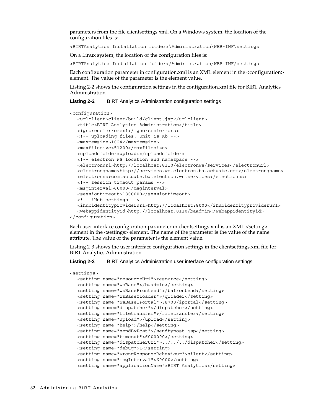parameters from the file clientsettings.xml. On a Windows system, the location of the configuration files is:

<BIRTAnalytics Installation folder>\Administration\WEB-INF\settings

On a Linux system, the location of the configuration files is:

<BIRTAnalytics Installation folder>/Administration/WEB-INF/settings

Each configuration parameter in configuration.xml is an XML element in the <configuration> element. The value of the parameter is the element value.

[Listing 2-2](#page-37-0) shows the configuration settings in the configuration.xml file for BIRT Analytics Administration.

<span id="page-37-0"></span>

| Listing 2-2 | <b>BIRT Analytics Administration configuration settings</b> |  |  |
|-------------|-------------------------------------------------------------|--|--|
|             |                                                             |  |  |

```
<configuration>
  <urlclient>client/build/client.jsp</urlclient>
  <title>BIRT Analytics Administration</title>
  <ignoresslerrors>1</ignoresslerrors>
  <!-- uploading files. Unit is Kb -->
  <maxmemsize>1024</maxmemsize>
  <maxfilesize>51200</maxfilesize>
  <uploadsfolder>uploads</uploadsfolder>
  <!-- electron WS location and namespace -->
  <electronurl>http://localhost:8110/electronws/services</electronurl>
  <electronqname>http://services.ws.electron.ba.actuate.com</electronqname>
  <electronns>com.actuate.ba.electron.ws.services</electronns>
  <!-- session timeout params -->
  <msginterval>60000</msginterval>
  <sessiontimeout>1800000</sessiontimeout>
  <!-- iHub settings --> 
  <ihubidentityproviderurl>http://localhost:8000</ihubidentityproviderurl>
  <webappidentityid>http://localhost:8110/baadmin</webappidentityid>
```
</configuration>

Each user interface configuration parameter in clientsettings.xml is an XML <setting> element in the <settings> element. The name of the parameter is the value of the name attribute. The value of the parameter is the element value.

[Listing 2-3](#page-37-1) shows the user interface configuration settings in the clientsettings.xml file for BIRT Analytics Administration.

#### <span id="page-37-1"></span>**Listing 2-3** BIRT Analytics Administration user interface configuration settings

<settings>

```
<setting name="resourceUri">resource</setting>
<setting name="wsBase">/baadmin</setting>
<setting name="wsBaseFrontend">/bafrontend</setting>
<setting name="wsBaseQloader">/qloader</setting>
<setting name="wsBaseIPortal">:8700/iportal</setting>
<setting name="dispatcher">/dispatcher</setting>
<setting name="filetransfer">/filetransfer</setting>
<setting name="upload">/upload</setting>
<setting name="help">/help</setting>
<setting name="sendByPost">/sendbypost.jsp</setting>
<setting name="timeout">6000000</setting>
<setting name="dispatcherUri">../../../dispatcher</setting>
<setting name="debug">1</setting>
<setting name="wrongResponseBehaviour">silent</setting>
<setting name="msgInterval">60000</setting>
<setting name="applicationName">BIRT Analytics</setting>
```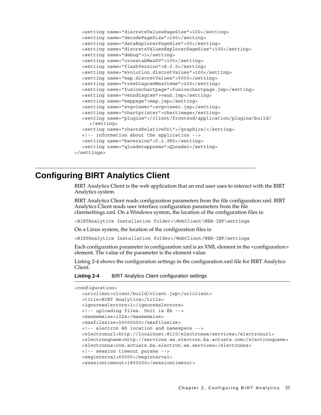```
<setting name="discreteValuesPageSize">100</setting>
  <setting name="decodePageSize">100</setting>
  <setting name="dataExplorerPageSize">50</setting>
  <setting name="discreteValuesExplorerPageSize">100</setting>
  <setting name="debug">1</setting>
  <setting name="crosstabMaxDV">100</setting>
  <setting name="flashVersion">8.0.0</setting>
  <setting name="evolution.discretValues">100</setting>
  <setting name="map.discretValues">5000</setting>
  <setting name="treeDiagramMaxItems">200</setting>
  <setting name="fusionchartpage">fusionchartpage.jsp</setting>
  <setting name="venndiagram">venn.jsp</setting>
  <setting name="mappage">map.jsp</setting>
  <setting name="svgviewer">svgviewer.jsp</setting>
  <setting name="chartprinter">chartimage</setting>
  <setting name="plugins">/client/frontend/application/plugins/build/
     </setting>
  <setting name="chartsRelativeUri">/graphics/</setting>
  <!-- information about the application -->
  <setting name="baversion">5.2.985</setting>
  <setting name="qloaderappname">QLoader</setting>
</settings>
```
#### **Configuring BIRT Analytics Client**

BIRT Analytics Client is the web application that an end user uses to interact with the BIRT Analytics system.

BIRT Analytics Client reads configuration parameters from the file configuration.xml. BIRT Analytics Client reads user interface configuration parameters from the file clientsettings.xml. On a Windows system, the location of the configuration files is:

<BIRTAnalytics Installation folder>\WebClient\WEB-INF\settings

On a Linux system, the location of the configuration files is:

<BIRTAnalytics Installation folder>/WebClient/WEB-INF/settings

Each configuration parameter in configuration.xml is an XML element in the <configuration> element. The value of the parameter is the element value.

[Listing 2-4](#page-38-0) shows the configuration settings in the configuration.xml file for BIRT Analytics Client.

<span id="page-38-0"></span>**Listing 2-4** BIRT Analytics Client configuration settings

| <configuration></configuration> |
|---------------------------------|
|---------------------------------|

```
<urlclient>client/build/client.jsp</urlclient>
<title>BIRT Analytics</title>
<ignoresslerrors>1</ignoresslerrors>
<!-- uploading files. Unit is Kb -->
<maxmemsize>1024</maxmemsize>
<maxfilesize>50000000</maxfilesize>
<!-- electron WS location and namespace -->
<electronurl>http://localhost:8110/electronws/services</electronurl>
<electronqname>http://services.ws.electron.ba.actuate.com</electronqname>
<electronns>com.actuate.ba.electron.ws.services</electronns>
<!-- session timeout params -->
<msginterval>60000</msginterval>
<sessiontimeout>1800000</sessiontimeout>
```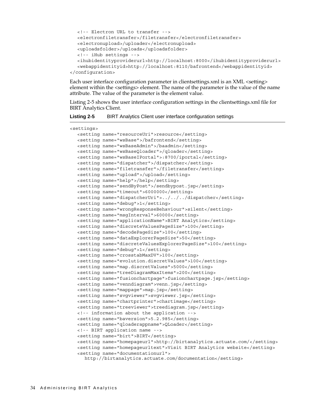```
<!-- Electron URL to transfer -->
  <electronfiletransfer>/filetransfer</electronfiletransfer>
  <electronupload>/uploader</electronupload>
  <uploadsfolder>/uploads</uploadsfolder>
  <!-- iHub settings --> 
  <ihubidentityproviderurl>http://localhost:8000</ihubidentityproviderurl>
  <webappidentityid>http://localhost:8110/bafrontend</webappidentityid>
</configuration>
```
Each user interface configuration parameter in clientsettings.xml is an XML <setting> element within the <settings> element. The name of the parameter is the value of the name attribute. The value of the parameter is the element value.

[Listing 2-5](#page-39-0) shows the user interface configuration settings in the clientsettings.xml file for BIRT Analytics Client.

<span id="page-39-0"></span>

| <b>Listing 2-5</b> | BIRT Analytics Client user interface configuration settings |  |  |  |  |
|--------------------|-------------------------------------------------------------|--|--|--|--|
|--------------------|-------------------------------------------------------------|--|--|--|--|

<setting name="resourceUri">resource</setting> <setting name="wsBase">/bafrontend</setting>

<settings>

```
<setting name="wsBaseAdmin">/baadmin</setting>
<setting name="wsBaseQloader">/qloader</setting>
<setting name="wsBaseIPortal">:8700/iportal</setting>
<setting name="dispatcher">/dispatcher</setting>
<setting name="filetransfer">/filetransfer</setting>
<setting name="upload">/upload</setting>
<setting name="help">/help</setting>
<setting name="sendByPost">/sendbypost.jsp</setting>
<setting name="timeout">6000000</setting>
<setting name="dispatcherUri">../../../dispatcher</setting>
<setting name="debug">1</setting>
<setting name="wrongResponseBehaviour">silent</setting>
<setting name="msgInterval">60000</setting>
<setting name="applicationName">BIRT Analytics</setting>
<setting name="discreteValuesPageSize">100</setting>
<setting name="decodePageSize">100</setting>
<setting name="dataExplorerPageSize">50</setting>
<setting name="discreteValuesExplorerPageSize">100</setting>
<setting name="debug">1</setting>
<setting name="crosstabMaxDV">100</setting>
<setting name="evolution.discretValues">100</setting>
<setting name="map.discretValues">5000</setting>
<setting name="treeDiagramMaxItems">200</setting>
<setting name="fusionchartpage">fusionchartpage.jsp</setting>
<setting name="venndiagram">venn.jsp</setting>
<setting name="mappage">map.jsp</setting>
<setting name="svgviewer">svgviewer.jsp</setting>
<setting name="chartprinter">chartimage</setting>
<setting name="treeviewer">treediagram.jsp</setting>
<!-- information about the application --> 
<setting name="baversion">5.2.985</setting>
<setting name="qloaderappname">QLoader</setting>
<!-- BIRT application name -->
<setting name="birt">BIRT</setting>
<setting name="homepageurl">http://birtanalytics.actuate.com/</setting>
<setting name="homepageurltext">Visit BIRT Analytics website</setting>
<setting name="documentationurl">
  http://birtanalytics.actuate.com/documentation</setting>
```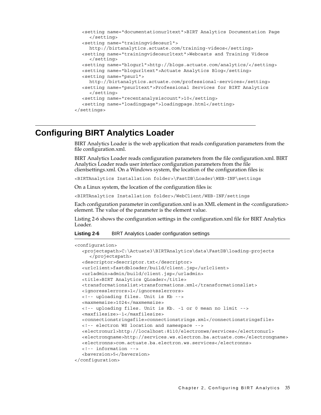```
<setting name="documentationurltext">BIRT Analytics Documentation Page
     </setting>
  <setting name="trainingvideosurl">
    http://birtanalytics.actuate.com/training-videos</setting>
  <setting name="trainingvideosurltext">Webcasts and Training Videos
     </setting>
  <setting name="blogurl">http://blogs.actuate.com/analytics/</setting>
  <setting name="blogurltext">Actuate Analytics Blog</setting>
  <setting name="psurl">
    http://birtanalytics.actuate.com/professional-services</setting>
  <setting name="psurltext">Professional Services for BIRT Analytics
     </setting>
  <setting name="recentanalysiscount">10</setting>
  <setting name="loadingpage">loadingpage.html</setting>
</settings>
```
#### **Configuring BIRT Analytics Loader**

BIRT Analytics Loader is the web application that reads configuration parameters from the file configuration.xml.

BIRT Analytics Loader reads configuration parameters from the file configuration.xml. BIRT Analytics Loader reads user interface configuration parameters from the file clientsettings.xml. On a Windows system, the location of the configuration files is:

<BIRTAnalytics Installation folder>\FastDB\Loader\WEB-INF\settings

On a Linux system, the location of the configuration files is:

<BIRTAnalytics Installation folder>/WebClient/WEB-INF/settings

Each configuration parameter in configuration.xml is an XML element in the <configuration> element. The value of the parameter is the element value.

[Listing 2-6](#page-40-0) shows the configuration settings in the configuration.xml file for BIRT Analytics Loader.

#### <span id="page-40-0"></span>**Listing 2-6** BIRT Analytics Loader configuration settings

```
<configuration>
  <projectspath>C:\Actuate3\BIRTAnalytics\data\FastDB\loading-projects
     </projectspath>
  <descriptor>descriptor.txt</descriptor>
  <urlclient>fastdbloader/build/client.jsp</urlclient>
  <urladmin>admin/build/client.jsp</urladmin>
  <title>BIRT Analytics QLoader</title>
  <transformationslist>transformations.xml</transformationslist>
  <ignoresslerrors>1</ignoresslerrors>
  <!-- uploading files. Unit is Kb -->
  <maxmemsize>1024</maxmemsize>
  <!-- uploading files. Unit is Kb. -1 or 0 mean no limit -->
  <maxfilesize>-1</maxfilesize>
  <connectionstringsfile>connectionstrings.xml</connectionstringsfile>
  <!-- electron WS location and namespace -->
  <electronurl>http://localhost:8110/electronws/services</electronurl>
  <electronqname>http://services.ws.electron.ba.actuate.com</electronqname>
  <electronns>com.actuate.ba.electron.ws.services</electronns>
  <!-- information -->
  <baversion>5</baversion>
</configuration>
```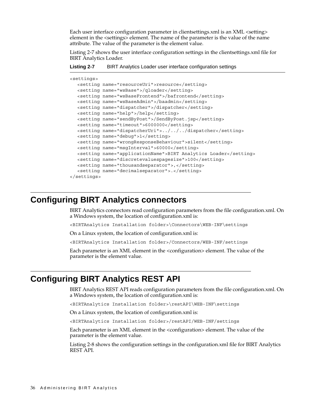Each user interface configuration parameter in clientsettings.xml is an XML <setting> element in the <settings> element. The name of the parameter is the value of the name attribute. The value of the parameter is the element value.

[Listing 2-7](#page-41-0) shows the user interface configuration settings in the clientsettings.xml file for BIRT Analytics Loader.

<span id="page-41-0"></span>

| Listing 2-7 |  |  | BIRT Analytics Loader user interface configuration settings |  |
|-------------|--|--|-------------------------------------------------------------|--|
|             |  |  |                                                             |  |

| <settings></settings> |                                                                 |
|-----------------------|-----------------------------------------------------------------|
|                       | <setting name="resourceUri">resource</setting>                  |
|                       | <setting name="wsBase">/gloader</setting>                       |
|                       | <setting name="wsBaseFrontend">/bafrontend</setting>            |
|                       | <setting name="wsBaseAdmin">/baadmin</setting>                  |
|                       | <setting name="dispatcher">/dispatcher</setting>                |
|                       | <setting name="help">/help</setting>                            |
|                       | <setting name="sendByPost">/SendByPost.jsp</setting>            |
|                       | <setting name="timeout">6000000</setting>                       |
|                       | $\prec$ setting name="dispatcherUri">///dispatcher              |
|                       | <setting name="debug">1</setting>                               |
|                       | <setting name="wrongResponseBehaviour">silent</setting>         |
|                       | <setting name="msqInterval">60000</setting>                     |
|                       | <setting name="applicationName">BIRT Analytics Loader</setting> |
|                       | <setting name="discretevaluespagesize">100</setting>            |
|                       | <setting name="thousandseparator">,</setting>                   |
|                       | <setting name="decimalseparator">.</setting>                    |
|                       |                                                                 |
|                       |                                                                 |

#### **Configuring BIRT Analytics connectors**

BIRT Analytics connectors read configuration parameters from the file configuration.xml. On a Windows system, the location of configuration.xml is:

<BIRTAnalytics Installation folder>\Connectors\WEB-INF\settings

On a Linux system, the location of configuration.xml is:

<BIRTAnalytics Installation folder>/Connectors/WEB-INF/settings

Each parameter is an XML element in the <configuration> element. The value of the parameter is the element value.

#### **Configuring BIRT Analytics REST API**

BIRT Analytics REST API reads configuration parameters from the file configuration.xml. On a Windows system, the location of configuration.xml is:

<BIRTAnalytics Installation folder>\restAPI\WEB-INF\settings

On a Linux system, the location of configuration.xml is:

<BIRTAnalytics Installation folder>/restAPI/WEB-INF/settings

Each parameter is an XML element in the <configuration> element. The value of the parameter is the element value.

[Listing 2-8](#page-42-0) shows the configuration settings in the configuration.xml file for BIRT Analytics REST API.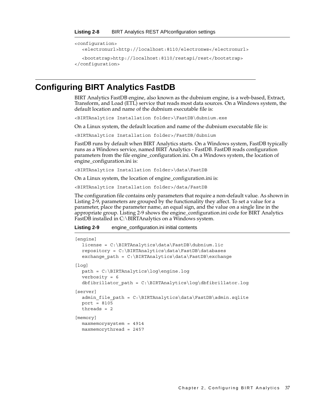```
<configuration>
  <electronurl>http://localhost:8110/electronws</electronurl>
  <bootstrap>http://localhost:8110/restapi/rest</bootstrap>
</configuration>
```
#### **Configuring BIRT Analytics FastDB**

BIRT Analytics FastDB engine, also known as the dubnium engine, is a web-based, Extract, Transform, and Load (ETL) service that reads most data sources. On a Windows system, the default location and name of the dubnium executable file is:

<BIRTAnalytics Installation folder>\FastDB\dubnium.exe

On a Linux system, the default location and name of the dubnium executable file is:

<BIRTAnalytics Installation folder>/FastDB/dubnium

FastDB runs by default when BIRT Analytics starts. On a Windows system, FastDB typically runs as a Windows service, named BIRT Analytics - FastDB. FastDB reads configuration parameters from the file engine\_configuration.ini. On a Windows system, the location of engine\_configuration.ini is:

<BIRTAnalytics Installation folder>\data\FastDB

On a Linux system, the location of engine\_configuration.ini is:

<BIRTAnalytics Installation folder>/data/FastDB

The configuration file contains only parameters that require a non-default value. As shown in [Listing 2-9,](#page-42-1) parameters are grouped by the functionality they affect. To set a value for a parameter, place the parameter name, an equal sign, and the value on a single line in the appropriate group. [Listing 2-9](#page-42-1) shows the engine\_configuration.ini code for BIRT Analytics FastDB installed in C:\BIRTAnalytics on a Windows system.

<span id="page-42-1"></span>**Listing 2-9** engine\_configuration.ini initial contents

```
[engine]
  license = C:\BIRTAnalytics\data\FastDB\dubnium.lic
  repository = C:\BIRTAnalytics\data\FastDB\databases
  exchange path = C:\BIRTAnalytics\data\FastDB\exchange
[log]
  path = C:\BIRTAnalytics\log\engine.log
  verbosity = 6
  dbfibrillator_path = C:\BIRTAnalytics\log\dbfibrillator.log
[server]
  admin file path = C:\BIRTAnalytics\data\FastDB\admin.sqlite
  port = 8105
  threads = 2
[memory]
  maxmemorysystem = 4914
  maxmemorythread = 2457
```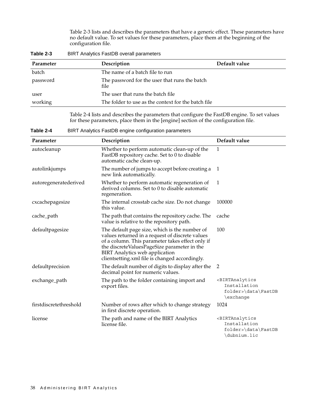[Table 2-3](#page-43-1) lists and describes the parameters that have a generic effect. These parameters have no default value. To set values for these parameters, place them at the beginning of the configuration file.

| Description                                           | Default value |
|-------------------------------------------------------|---------------|
| The name of a batch file to run                       |               |
| The password for the user that runs the batch<br>file |               |
| The user that runs the batch file                     |               |
| The folder to use as the context for the batch file   |               |
|                                                       |               |

<span id="page-43-1"></span>**Table 2-3** BIRT Analytics FastDB overall parameters

[Table 2-4](#page-43-0) lists and describes the parameters that configure the FastDB engine. To set values for these parameters, place them in the [engine] section of the configuration file.

<span id="page-43-0"></span>**Table 2-4** BIRT Analytics FastDB engine configuration parameters

| Parameter              | Description                                                                                                                                                                                                                                                                                    | Default value                                                                                 |
|------------------------|------------------------------------------------------------------------------------------------------------------------------------------------------------------------------------------------------------------------------------------------------------------------------------------------|-----------------------------------------------------------------------------------------------|
| autocleanup            | Whether to perform automatic clean-up of the<br>FastDB repository cache. Set to 0 to disable<br>automatic cache clean-up.                                                                                                                                                                      | 1                                                                                             |
| autolinkjumps          | The number of jumps to accept before creating a<br>new link automatically.                                                                                                                                                                                                                     | -1                                                                                            |
| autoregeneratederived  | Whether to perform automatic regeneration of<br>derived columns. Set to 0 to disable automatic<br>regeneration.                                                                                                                                                                                | 1                                                                                             |
| cxcachepagesize        | The internal crosstab cache size. Do not change<br>this value.                                                                                                                                                                                                                                 | 100000                                                                                        |
| cache_path             | The path that contains the repository cache. The<br>value is relative to the repository path.                                                                                                                                                                                                  | cache                                                                                         |
| defaultpagesize        | The default page size, which is the number of<br>values returned in a request of discrete values<br>of a column. This parameter takes effect only if<br>the discreteValuesPageSize parameter in the<br><b>BIRT</b> Analytics web application<br>clientsetting.xml file is changed accordingly. | 100                                                                                           |
| defaultprecision       | The default number of digits to display after the<br>decimal point for numeric values.                                                                                                                                                                                                         | 2                                                                                             |
| exchange_path          | The path to the folder containing import and<br>export files.                                                                                                                                                                                                                                  | <birtanalytics<br>Installation<br/>folder&gt;\data\FastDB<br/>\exchange</birtanalytics<br>    |
| firstdiscretethreshold | Number of rows after which to change strategy<br>in first discrete operation.                                                                                                                                                                                                                  | 1024                                                                                          |
| license                | The path and name of the BIRT Analytics<br>license file.                                                                                                                                                                                                                                       | <birtanalytics<br>Installation<br/>folder&gt;\data\FastDB<br/>\dubnium.lic</birtanalytics<br> |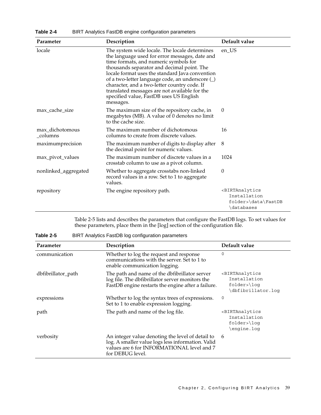| Parameter                   | Description                                                                                                                                                                                                                                                                                                                                                                                                                                            | Default value                                                                               |
|-----------------------------|--------------------------------------------------------------------------------------------------------------------------------------------------------------------------------------------------------------------------------------------------------------------------------------------------------------------------------------------------------------------------------------------------------------------------------------------------------|---------------------------------------------------------------------------------------------|
| locale                      | The system wide locale. The locale determines<br>the language used for error messages, date and<br>time formats, and numeric symbols for<br>thousands separator and decimal point. The<br>locale format uses the standard Java convention<br>of a two-letter language code, an underscore (_)<br>character, and a two-letter country code. If<br>translated messages are not available for the<br>specified value, FastDB uses US English<br>messages. | en_US                                                                                       |
| max cache size              | The maximum size of the repository cache, in<br>megabytes (MB). A value of 0 denotes no limit<br>to the cache size.                                                                                                                                                                                                                                                                                                                                    | $\theta$                                                                                    |
| max_dichotomous<br>_columns | The maximum number of dichotomous<br>columns to create from discrete values.                                                                                                                                                                                                                                                                                                                                                                           | 16                                                                                          |
| maximumprecision            | The maximum number of digits to display after<br>the decimal point for numeric values.                                                                                                                                                                                                                                                                                                                                                                 | 8                                                                                           |
| max_pivot_values            | The maximum number of discrete values in a<br>crosstab column to use as a pivot column.                                                                                                                                                                                                                                                                                                                                                                | 1024                                                                                        |
| nonlinked_aggregated        | Whether to aggregate crosstabs non-linked<br>record values in a row. Set to 1 to aggregate<br>values.                                                                                                                                                                                                                                                                                                                                                  | 0                                                                                           |
| repository                  | The engine repository path.                                                                                                                                                                                                                                                                                                                                                                                                                            | <birtanalytics<br>Installation<br/>folder&gt;\data\FastDB<br/>\databases</birtanalytics<br> |

**Table 2-4** BIRT Analytics FastDB engine configuration parameters

[Table 2-5](#page-44-0) lists and describes the parameters that configure the FastDB logs. To set values for these parameters, place them in the [log] section of the configuration file.

<span id="page-44-0"></span>**Table 2-5** BIRT Analytics FastDB log configuration parameters

| Parameter          | Description                                                                                                                                                             | Default value                                                                                             |
|--------------------|-------------------------------------------------------------------------------------------------------------------------------------------------------------------------|-----------------------------------------------------------------------------------------------------------|
| communication      | Whether to log the request and response<br>communications with the server. Set to 1 to<br>enable communication logging.                                                 | 0                                                                                                         |
| dbfibrillator_path | The path and name of the dbfibrillator server<br>log file. The dbfibrillator server monitors the<br>FastDB engine restarts the engine after a failure.                  | <birtanalytics<br>Installation<br/><math>folder\rangle</math>loq<br/>dbfibrillator.loq</birtanalytics<br> |
| expressions        | Whether to log the syntax trees of expressions.<br>Set to 1 to enable expression logging.                                                                               | 0                                                                                                         |
| path               | The path and name of the log file.                                                                                                                                      | <birtanalytics<br>Installation<br/><math>folder\rangle</math>loq<br/>\engine.loq</birtanalytics<br>       |
| verbosity          | An integer value denoting the level of detail to<br>log. A smaller value logs less information. Valid<br>values are 6 for INFORMATIONAL level and 7<br>for DEBUG level. | 6                                                                                                         |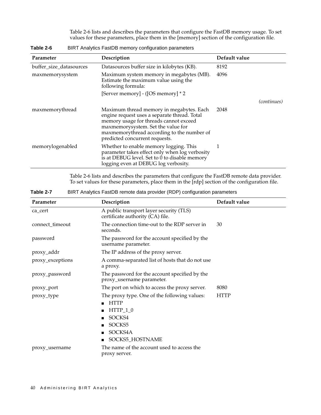[Table 2-6](#page-45-0) lists and describes the parameters that configure the FastDB memory usage. To set values for these parameters, place them in the [memory] section of the configuration file.

| Parameter               | Description                                                                                                                                                                                                                                              | Default value |                    |
|-------------------------|----------------------------------------------------------------------------------------------------------------------------------------------------------------------------------------------------------------------------------------------------------|---------------|--------------------|
| buffer_size_datasources | Datasources buffer size in kilobytes (KB).                                                                                                                                                                                                               | 8192          |                    |
| maxmemorysystem         | Maximum system memory in megabytes (MB).<br>Estimate the maximum value using the<br>following formula:                                                                                                                                                   | 4096          |                    |
|                         | [Server memory] - ([OS memory] * 2                                                                                                                                                                                                                       |               |                    |
|                         |                                                                                                                                                                                                                                                          |               | <i>(continues)</i> |
| maxmemorythread         | Maximum thread memory in megabytes. Each<br>engine request uses a separate thread. Total<br>memory usage for threads cannot exceed<br>maxmemorysystem. Set the value for<br>maxmemorythread according to the number of<br>predicted concurrent requests. | 2048          |                    |
| memorylogenabled        | Whether to enable memory logging. This<br>parameter takes effect only when log verbosity<br>is at DEBUG level. Set to 0 to disable memory<br>logging even at DEBUG log verbosity.                                                                        |               |                    |

<span id="page-45-0"></span>**Table 2-6** BIRT Analytics FastDB memory configuration parameters

[Table 2-6](#page-45-0) lists and describes the parameters that configure the FastDB remote data provider. To set values for these parameters, place them in the [rdp] section of the configuration file.

**Table 2-7** BIRT Analytics FastDB remote data provider (RDP) configuration parameters

| Parameter        | Description                                                                                                                 | Default value |
|------------------|-----------------------------------------------------------------------------------------------------------------------------|---------------|
| ca_cert          | A public transport layer security (TLS)<br>certificate authority (CA) file.                                                 |               |
| connect_timeout  | The connection time-out to the RDP server in<br>seconds.                                                                    | 30            |
| password         | The password for the account specified by the<br>username parameter.                                                        |               |
| proxy_addr       | The IP address of the proxy server.                                                                                         |               |
| proxy_exceptions | A comma-separated list of hosts that do not use<br>a proxy.                                                                 |               |
| proxy_password   | The password for the account specified by the<br>proxy_username parameter.                                                  |               |
| proxy_port       | The port on which to access the proxy server.                                                                               | 8080          |
| proxy_type       | The proxy type. One of the following values:<br><b>HTTP</b><br>$HTTP_1_0$<br>SOCKS4<br>SOCKS5<br>SOCKS4A<br>SOCKS5_HOSTNAME | HTTP          |
| proxy_username   | The name of the account used to access the<br>proxy server.                                                                 |               |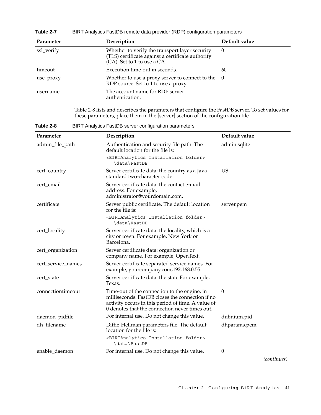**Table 2-7** BIRT Analytics FastDB remote data provider (RDP) configuration parameters

| Parameter  | Description                                                                                                                        | Default value |
|------------|------------------------------------------------------------------------------------------------------------------------------------|---------------|
| ssl_verify | Whether to verify the transport layer security<br>(TLS) certificate against a certificate authority<br>(CA). Set to 1 to use a CA. | $\theta$      |
| timeout    | Execution time-out in seconds.                                                                                                     | 60            |
| use_proxy  | Whether to use a proxy server to connect to the $0$<br>RDP source. Set to 1 to use a proxy.                                        |               |
| username   | The account name for RDP server<br>authentication.                                                                                 |               |

[Table 2-8](#page-46-0) lists and describes the parameters that configure the FastDB server. To set values for these parameters, place them in the [server] section of the configuration file.

<span id="page-46-0"></span>**Table 2-8** BIRT Analytics FastDB server configuration parameters

| Parameter          | Description                                                                                                                                                                                              | Default value |         |
|--------------------|----------------------------------------------------------------------------------------------------------------------------------------------------------------------------------------------------------|---------------|---------|
| admin_file_path    | Authentication and security file path. The<br>default location for the file is:                                                                                                                          | admin.sqlite  |         |
|                    | <birtanalytics folder="" installation=""><br/>\data\FastDB</birtanalytics>                                                                                                                               |               |         |
| cert_country       | Server certificate data: the country as a Java<br>standard two-character code.                                                                                                                           | <b>US</b>     |         |
| cert_email         | Server certificate data: the contact e-mail<br>address. For example,<br>administrator@yourdomain.com.                                                                                                    |               |         |
| certificate        | Server public certificate. The default location<br>for the file is:                                                                                                                                      | server.pem    |         |
|                    | <birtanalytics folder="" installation=""><br/>\data\FastDB</birtanalytics>                                                                                                                               |               |         |
| cert_locality      | Server certificate data: the locality, which is a<br>city or town. For example, New York or<br>Barcelona.                                                                                                |               |         |
| cert_organization  | Server certificate data: organization or<br>company name. For example, OpenText.                                                                                                                         |               |         |
| cert_service_names | Server certificate separated service names. For<br>example, yourcompany.com, 192.168.0.55.                                                                                                               |               |         |
| cert_state         | Server certificate data: the state.For example,<br>Texas.                                                                                                                                                |               |         |
| connectiontimeout  | Time-out of the connection to the engine, in<br>milliseconds. FastDB closes the connection if no<br>activity occurs in this period of time. A value of<br>0 denotes that the connection never times out. | $\theta$      |         |
| daemon_pidfile     | For internal use. Do not change this value.                                                                                                                                                              | dubnium.pid   |         |
| dh_filename        | Diffie-Hellman parameters file. The default<br>location for the file is:                                                                                                                                 | dhparams.pem  |         |
|                    | <birtanalytics folder="" installation=""><br/>\data\FastDB</birtanalytics>                                                                                                                               |               |         |
| enable_daemon      | For internal use. Do not change this value.                                                                                                                                                              | $\theta$      | $1 - 1$ |

*(continues)*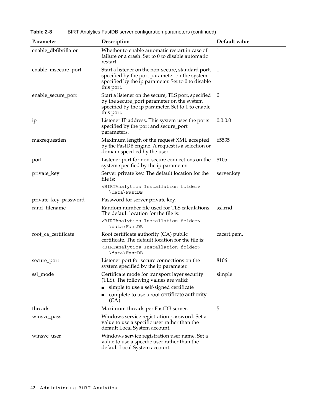**Table 2-8** BIRT Analytics FastDB server configuration parameters (continued)

| Parameter            | Description                                                                                                                                                             | Default value |
|----------------------|-------------------------------------------------------------------------------------------------------------------------------------------------------------------------|---------------|
| enable_dbfibrillator | Whether to enable automatic restart in case of<br>failure or a crash. Set to 0 to disable automatic<br>restart.                                                         | 1             |
| enable_insecure_port | Start a listener on the non-secure, standard port,<br>specified by the port parameter on the system<br>specified by the ip parameter. Set to 0 to disable<br>this port. | 1             |
| enable_secure_port   | Start a listener on the secure, TLS port, specified<br>by the secure_port parameter on the system<br>specified by the ip parameter. Set to 1 to enable<br>this port.    | - 0           |
| ip                   | Listener IP address. This system uses the ports<br>specified by the port and secure_port<br>parameters.                                                                 | 0.0.0.0       |
| maxrequestlen        | Maximum length of the request XML accepted<br>by the FastDB engine. A request is a selection or<br>domain specified by the user.                                        | 65535         |
| port                 | Listener port for non-secure connections on the<br>system specified by the ip parameter.                                                                                | 8105          |
| private_key          | Server private key. The default location for the<br>file is:<br><birtanalytics folder="" installation=""></birtanalytics>                                               | server.key    |
|                      | \data\FastDB                                                                                                                                                            |               |
| private_key_password | Password for server private key.                                                                                                                                        |               |
| rand_filename        | Random number file used for TLS calculations.<br>The default location for the file is:                                                                                  | ssl.rnd       |
|                      | <birtanalytics folder="" installation=""><br/>\data\FastDB</birtanalytics>                                                                                              |               |
| root_ca_certificate  | Root certificate authority (CA) public<br>certificate. The default location for the file is:                                                                            | cacert.pem.   |
|                      | <birtanalytics folder="" installation=""><br/>\data\FastDB</birtanalytics>                                                                                              |               |
| secure_port          | Listener port for secure connections on the<br>system specified by the ip parameter.                                                                                    | 8106          |
| ssl_mode             | Certificate mode for transport layer security<br>(TLS). The following values are valid:                                                                                 | simple        |
|                      | simple to use a self-signed certificate                                                                                                                                 |               |
|                      | complete to use a root certificate authority<br>(CA)                                                                                                                    |               |
| threads              | Maximum threads per FastDB server.                                                                                                                                      | 5             |
| winsvc_pass          | Windows service registration password. Set a<br>value to use a specific user rather than the<br>default Local System account.                                           |               |
| winsvc_user          | Windows service registration user name. Set a<br>value to use a specific user rather than the<br>default Local System account.                                          |               |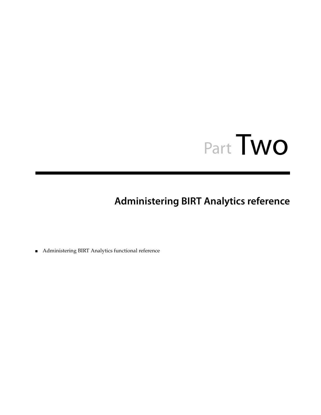# Part Two**<sup>2</sup>**

# **Administering BIRT Analytics reference**

■ [Administering BIRT Analytics functional reference](#page-50-0)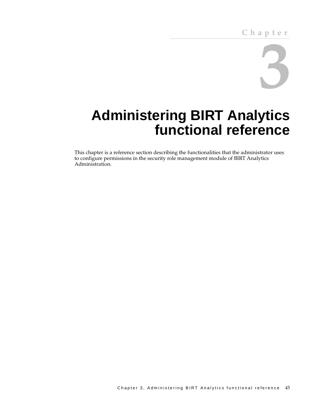

# <span id="page-50-0"></span>**Administering BIRT Analytics functional reference**

This chapter is a reference section describing the functionalities that the administrator uses to configure permissions in the security role management module of BIRT Analytics Administration.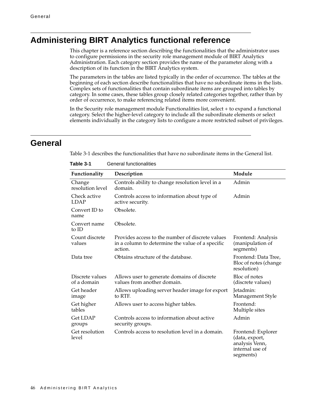# **Administering BIRT Analytics functional reference**

This chapter is a reference section describing the functionalities that the administrator uses to configure permissions in the security role management module of BIRT Analytics Administration. Each category section provides the name of the parameter along with a description of its function in the BIRT Analytics system.

The parameters in the tables are listed typically in the order of occurrence. The tables at the beginning of each section describe functionalities that have no subordinate items in the lists. Complex sets of functionalities that contain subordinate items are grouped into tables by category. In some cases, these tables group closely related categories together, rather than by order of occurrence, to make referencing related items more convenient.

In the Security role management module Functionalities list, select + to expand a functional category. Select the higher-level category to include all the subordinate elements or select elements individually in the category lists to configure a more restricted subset of privileges.

#### **General**

[Table 3-1](#page-51-0) describes the functionalities that have no subordinate items in the General list.

| Functionality                  | Description                                                                                                     | Module                                                                                 |
|--------------------------------|-----------------------------------------------------------------------------------------------------------------|----------------------------------------------------------------------------------------|
| Change<br>resolution level     | Controls ability to change resolution level in a<br>domain.                                                     | Admin                                                                                  |
| Check active<br><b>LDAP</b>    | Controls access to information about type of<br>active security.                                                | Admin                                                                                  |
| Convert ID to<br>name          | Obsolete.                                                                                                       |                                                                                        |
| Convert name<br>to ID          | Obsolete.                                                                                                       |                                                                                        |
| Count discrete<br>values       | Provides access to the number of discrete values<br>in a column to determine the value of a specific<br>action. | Frontend: Analysis<br>(manipulation of<br>segments)                                    |
| Data tree                      | Obtains structure of the database.                                                                              | Frontend: Data Tree,<br>Bloc of notes (change<br>resolution)                           |
| Discrete values<br>of a domain | Allows user to generate domains of discrete<br>values from another domain.                                      | Bloc of notes<br>(discrete values)                                                     |
| Get header<br>image            | Allows uploading server header image for export<br>to RTF.                                                      | Jetadmin:<br>Management Style                                                          |
| Get higher<br>tables           | Allows user to access higher tables.                                                                            | Frontend:<br>Multiple sites                                                            |
| <b>Get LDAP</b><br>groups      | Controls access to information about active<br>security groups.                                                 | Admin                                                                                  |
| Get resolution<br>level        | Controls access to resolution level in a domain.                                                                | Frontend: Explorer<br>(data, export,<br>analysis Venn,<br>internal use of<br>segments) |

<span id="page-51-0"></span>**Table 3-1** General functionalities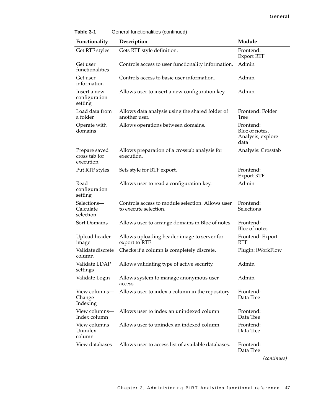| Functionality                               | Description                                                               | Module                                                   |
|---------------------------------------------|---------------------------------------------------------------------------|----------------------------------------------------------|
|                                             |                                                                           |                                                          |
| Get RTF styles                              | Gets RTF style definition.                                                | Frontend:<br><b>Export RTF</b>                           |
| Get user<br>functionalities                 | Controls access to user functionality information.                        | Admin                                                    |
| Get user<br>information                     | Controls access to basic user information.                                | Admin                                                    |
| Insert a new<br>configuration<br>setting    | Allows user to insert a new configuration key.                            | Admin                                                    |
| Load data from<br>a folder                  | Allows data analysis using the shared folder of<br>another user.          | Frontend: Folder<br>Tree                                 |
| Operate with<br>domains                     | Allows operations between domains.                                        | Frontend:<br>Bloc of notes,<br>Analysis, explore<br>data |
| Prepare saved<br>cross tab for<br>execution | Allows preparation of a crosstab analysis for<br>execution.               | Analysis: Crosstab                                       |
| Put RTF styles                              | Sets style for RTF export.                                                | Frontend:<br><b>Export RTF</b>                           |
| Read<br>configuration<br>setting            | Allows user to read a configuration key.                                  | Admin                                                    |
| Selections-<br>Calculate<br>selection       | Controls access to module selection. Allows user<br>to execute selection. | Frontend:<br>Selections                                  |
| Sort Domains                                | Allows user to arrange domains in Bloc of notes.                          | Frontend:<br>Bloc of notes                               |
| Upload header<br>image                      | Allows uploading header image to server for<br>export to RTF.             | Frontend: Export<br><b>RTF</b>                           |
| Validate discrete<br>column                 | Checks if a column is completely discrete.                                | Plugin: iWorkFlow                                        |
| Validate LDAP<br>settings                   | Allows validating type of active security.                                | Admin                                                    |
| Validate Login                              | Allows system to manage anonymous user<br>access.                         | Admin                                                    |
| View columns—<br>Change<br>Indexing         | Allows user to index a column in the repository.                          | Frontend:<br>Data Tree                                   |
| View columns-<br>Index column               | Allows user to index an unindexed column                                  | Frontend:<br>Data Tree                                   |
| View columns—<br>Unindex<br>column          | Allows user to unindex an indexed column                                  | Frontend:<br>Data Tree                                   |
| View databases                              | Allows user to access list of available databases.                        | Frontend:<br>Data Tree                                   |

**Table 3-1** General functionalities (continued)

*(continues)*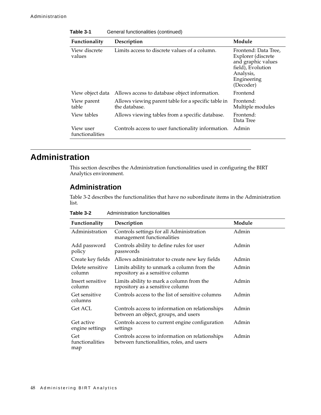| Functionality                | Description                                                          | Module                                                                                                                         |
|------------------------------|----------------------------------------------------------------------|--------------------------------------------------------------------------------------------------------------------------------|
| View discrete<br>values      | Limits access to discrete values of a column.                        | Frontend: Data Tree,<br>Explorer (discrete<br>and graphic values<br>field), Evolution<br>Analysis,<br>Engineering<br>(Decoder) |
| View object data             | Allows access to database object information.                        | Frontend                                                                                                                       |
| View parent<br>table         | Allows viewing parent table for a specific table in<br>the database. | Frontend:<br>Multiple modules                                                                                                  |
| View tables                  | Allows viewing tables from a specific database.                      | Frontend:<br>Data Tree                                                                                                         |
| View user<br>functionalities | Controls access to user functionality information.                   | Admin                                                                                                                          |

**Table 3-1** General functionalities (continued)

# **Administration**

This section describes the Administration functionalities used in configuring the BIRT Analytics environment.

#### **Administration**

[Table 3-2](#page-53-0) describes the functionalities that have no subordinate items in the Administration list.

<span id="page-53-0"></span>

| Table 3-2 | Administration functionalities |
|-----------|--------------------------------|
|-----------|--------------------------------|

| Functionality                 | Description                                                                                  | Module |
|-------------------------------|----------------------------------------------------------------------------------------------|--------|
| Administration                | Controls settings for all Administration<br>management functionalities                       | Admin  |
| Add password<br>policy        | Controls ability to define rules for user<br>passwords                                       | Admin  |
| Create key fields             | Allows administrator to create new key fields                                                | Admin  |
| Delete sensitive<br>column    | Limits ability to unmark a column from the<br>repository as a sensitive column               | Admin  |
| Insert sensitive<br>column    | Limits ability to mark a column from the<br>repository as a sensitive column                 | Admin  |
| Get sensitive<br>columns      | Controls access to the list of sensitive columns                                             | Admin  |
| Get ACL                       | Controls access to information on relationships<br>between an object, groups, and users      | Admin  |
| Get active<br>engine settings | Controls access to current engine configuration<br>settings                                  | Admin  |
| Get<br>functionalities<br>map | Controls access to information on relationships<br>between functionalities, roles, and users | Admin  |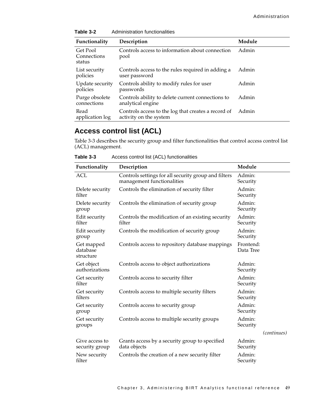| Functionality                     | Description                                                                   | Module |
|-----------------------------------|-------------------------------------------------------------------------------|--------|
| Get Pool<br>Connections<br>status | Controls access to information about connection<br>pool                       | Admin  |
| List security<br>policies         | Controls access to the rules required in adding a<br>user password            | Admin  |
| Update security<br>policies       | Controls ability to modify rules for user<br>passwords                        | Admin  |
| Purge obsolete<br>connections     | Controls ability to delete current connections to<br>analytical engine        | Admin  |
| Read<br>application log           | Controls access to the log that creates a record of<br>activity on the system | Admin  |

**Table 3-2** Administration functionalities

# **Access control list (ACL)**

[Table 3-3](#page-54-0) describes the security group and filter functionalities that control access control list (ACL) management.

<span id="page-54-0"></span>

| Table 3-3<br>Access control list (ACL) functionalities |
|--------------------------------------------------------|
|--------------------------------------------------------|

| Functionality                       | Description                                                                        | Module                 |             |
|-------------------------------------|------------------------------------------------------------------------------------|------------------------|-------------|
| <b>ACL</b>                          | Controls settings for all security group and filters<br>management functionalities | Admin:<br>Security     |             |
| Delete security<br>filter           | Controls the elimination of security filter                                        | Admin:<br>Security     |             |
| Delete security<br>group            | Controls the elimination of security group                                         | Admin:<br>Security     |             |
| Edit security<br>filter             | Controls the modification of an existing security<br>filter                        | Admin:<br>Security     |             |
| Edit security<br>group              | Controls the modification of security group                                        | Admin:<br>Security     |             |
| Get mapped<br>database<br>structure | Controls access to repository database mappings                                    | Frontend:<br>Data Tree |             |
| Get object<br>authorizations        | Controls access to object authorizations                                           | Admin:<br>Security     |             |
| Get security<br>filter              | Controls access to security filter                                                 | Admin:<br>Security     |             |
| Get security<br>filters             | Controls access to multiple security filters                                       | Admin:<br>Security     |             |
| Get security<br>group               | Controls access to security group                                                  | Admin:<br>Security     |             |
| Get security<br>groups              | Controls access to multiple security groups                                        | Admin:<br>Security     |             |
|                                     |                                                                                    |                        | (continues) |
| Give access to<br>security group    | Grants access by a security group to specified<br>data objects                     | Admin:<br>Security     |             |
| New security<br>filter              | Controls the creation of a new security filter                                     | Admin:<br>Security     |             |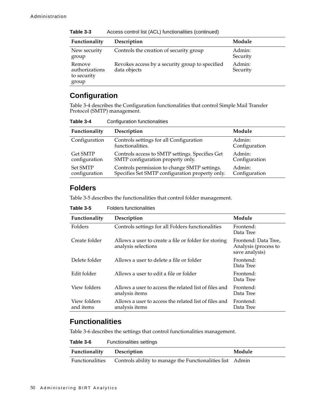| Functionality                                    | Description                                                     | Module             |  |
|--------------------------------------------------|-----------------------------------------------------------------|--------------------|--|
| New security<br>group                            | Controls the creation of security group                         | Admin:<br>Security |  |
| Remove<br>authorizations<br>to security<br>group | Revokes access by a security group to specified<br>data objects | Admin:<br>Security |  |

**Table 3-3** Access control list (ACL) functionalities (continued)

#### **Configuration**

[Table 3-4](#page-55-0) describes the Configuration functionalities that control Simple Mail Transfer Protocol (SMTP) management.

<span id="page-55-0"></span>**Table 3-4** Configuration functionalities

| Functionality                    | Description                                                                                     | Module                  |
|----------------------------------|-------------------------------------------------------------------------------------------------|-------------------------|
| Configuration                    | Controls settings for all Configuration<br>functionalities.                                     | Admin:<br>Configuration |
| <b>Get SMTP</b><br>configuration | Controls access to SMTP settings. Specifies Get<br>SMTP configuration property only.            | Admin:<br>Configuration |
| <b>Set SMTP</b><br>configuration | Controls permission to change SMTP settings.<br>Specifies Set SMTP configuration property only. | Admin:<br>Configuration |

#### **Folders**

[Table 3-5](#page-55-1) describes the functionalities that control folder management.

| ט־ט טועוו                 | T UNUS IUNUUNUIKIINUS                                                       |                                                                |
|---------------------------|-----------------------------------------------------------------------------|----------------------------------------------------------------|
| Functionality             | Description                                                                 | Module                                                         |
| Folders                   | Controls settings for all Folders functionalities                           | Frontend:<br>Data Tree                                         |
| Create folder             | Allows a user to create a file or folder for storing<br>analysis selections | Frontend: Data Tree,<br>Analysis (process to<br>save analysis) |
| Delete folder             | Allows a user to delete a file or folder                                    | Frontend:<br>Data Tree                                         |
| Edit folder               | Allows a user to edit a file or folder                                      | Frontend:<br>Data Tree                                         |
| View folders              | Allows a user to access the related list of files and<br>analysis items     | Frontend:<br>Data Tree                                         |
| View folders<br>and items | Allows a user to access the related list of files and<br>analysis items     | Frontend:<br>Data Tree                                         |

<span id="page-55-1"></span>**Table 3-5** Folders functionalities

#### **Functionalities**

[Table 3-6](#page-55-2) describes the settings that control functionalities management.

<span id="page-55-2"></span>

| Table 3-6       | <b>Functionalities settings</b>                           |        |
|-----------------|-----------------------------------------------------------|--------|
| Functionality   | Description                                               | Module |
| Functionalities | Controls ability to manage the Functionalities list Admin |        |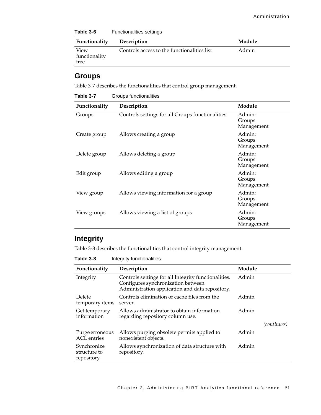| Table 3-6     | <b>Functionalities settings</b>             |        |
|---------------|---------------------------------------------|--------|
| Functionality | <b>Description</b>                          | Module |
| View          | Controls access to the functionalities list | Admin  |

#### **Groups**

tree

functionality

[Table 3-7](#page-56-0) describes the functionalities that control group management.

<span id="page-56-0"></span>

|  | Table 3-7 | Groups functionalities |
|--|-----------|------------------------|
|--|-----------|------------------------|

| Functionality | Description                                      | Module                         |
|---------------|--------------------------------------------------|--------------------------------|
| Groups        | Controls settings for all Groups functionalities | Admin:<br>Groups<br>Management |
| Create group  | Allows creating a group                          | Admin:<br>Groups<br>Management |
| Delete group  | Allows deleting a group                          | Admin:<br>Groups<br>Management |
| Edit group    | Allows editing a group                           | Admin:<br>Groups<br>Management |
| View group    | Allows viewing information for a group           | Admin:<br>Groups<br>Management |
| View groups   | Allows viewing a list of groups                  | Admin:<br>Groups<br>Management |

#### **Integrity**

[Table 3-8](#page-56-1) describes the functionalities that control integrity management.

<span id="page-56-1"></span>**Table 3-8** Integrity functionalities

| Functionality                             | Description                                                                                                                                   | Module |             |
|-------------------------------------------|-----------------------------------------------------------------------------------------------------------------------------------------------|--------|-------------|
| Integrity                                 | Controls settings for all Integrity functionalities.<br>Configures synchronization between<br>Administration application and data repository. | Admin  |             |
| Delete<br>temporary items                 | Controls elimination of cache files from the<br>server.                                                                                       | Admin  |             |
| Get temporary<br>information              | Allows administrator to obtain information<br>regarding repository column use.                                                                | Admin  |             |
|                                           |                                                                                                                                               |        | (continues) |
| Purge erroneous<br><b>ACL</b> entries     | Allows purging obsolete permits applied to<br>nonexistent objects.                                                                            | Admin  |             |
| Synchronize<br>structure to<br>repository | Allows synchronization of data structure with<br>repository.                                                                                  | Admin  |             |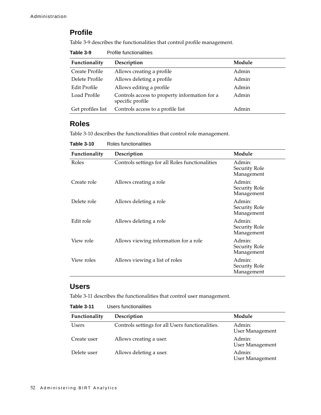#### **Profile**

[Table 3-9](#page-57-2) describes the functionalities that control profile management.

<span id="page-57-2"></span>

| Table 3-9 | <b>Profile functionalities</b> |
|-----------|--------------------------------|
|-----------|--------------------------------|

| Functionality       | Description                                                       | Module |
|---------------------|-------------------------------------------------------------------|--------|
| Create Profile      | Allows creating a profile                                         | Admin  |
| Delete Profile      | Allows deleting a profile                                         | Admin  |
| <b>Edit Profile</b> | Allows editing a profile                                          | Admin  |
| Load Profile        | Controls access to property information for a<br>specific profile | Admin  |
| Get profiles list   | Controls access to a profile list                                 | Admin  |

#### **Roles**

[Table 3-10](#page-57-0) describes the functionalities that control role management.

| Functionality | Description                                     | Module                                |
|---------------|-------------------------------------------------|---------------------------------------|
| Roles         | Controls settings for all Roles functionalities | Admin:<br>Security Role<br>Management |
| Create role   | Allows creating a role                          | Admin:<br>Security Role<br>Management |
| Delete role   | Allows deleting a role                          | Admin:<br>Security Role<br>Management |
| Edit role     | Allows deleting a role                          | Admin:<br>Security Role<br>Management |
| View role     | Allows viewing information for a role           | Admin:<br>Security Role<br>Management |
| View roles    | Allows viewing a list of roles                  | Admin:<br>Security Role<br>Management |

<span id="page-57-0"></span>**Table 3-10** Roles functionalities

#### **Users**

[Table 3-11](#page-57-1) describes the functionalities that control user management.

<span id="page-57-1"></span>

| Table 3-11 | Users functionalities |
|------------|-----------------------|
|------------|-----------------------|

| Functionality | Description                                      | Module                           |
|---------------|--------------------------------------------------|----------------------------------|
| Users         | Controls settings for all Users functionalities. | Admin:<br><b>User Management</b> |
| Create user   | Allows creating a user.                          | Admin:<br><b>User Management</b> |
| Delete user   | Allows deleting a user.                          | Admin:<br><b>User Management</b> |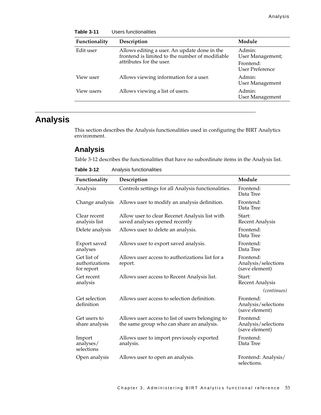| Functionality | Description                                                                                     | Module                              |
|---------------|-------------------------------------------------------------------------------------------------|-------------------------------------|
| Edit user     | Allows editing a user. An update done in the<br>frontend is limited to the number of modifiable | Admin:<br>User Management;          |
|               | attributes for the user.                                                                        | Frontend:<br><b>User Preference</b> |
| View user     | Allows viewing information for a user.                                                          | Admin:<br><b>User Management</b>    |
| View users    | Allows viewing a list of users.                                                                 | Admin:<br><b>User Management</b>    |

# **Table 3-11** Users functionalities

# **Analysis**

This section describes the Analysis functionalities used in configuring the BIRT Analytics environment.

#### **Analysis**

[Table 3-12](#page-58-0) describes the functionalities that have no subordinate items in the Analysis list.

<span id="page-58-0"></span>

| Table 3-12 | Analysis functionalities |
|------------|--------------------------|
|------------|--------------------------|

| Functionality                               | Description                                                                                   | Module                                             |
|---------------------------------------------|-----------------------------------------------------------------------------------------------|----------------------------------------------------|
| Analysis                                    | Controls settings for all Analysis functionalities.                                           | Frontend:<br>Data Tree                             |
| Change analysis                             | Allows user to modify an analysis definition.                                                 | Frontend:<br>Data Tree                             |
| Clear recent<br>analysis list               | Allow user to clear Recenet Analysis list with<br>saved analyses opened recently              | Start:<br><b>Recent Analysis</b>                   |
| Delete analysis                             | Allows user to delete an analysis.                                                            | Frontend:<br>Data Tree                             |
| Export saved<br>analyses                    | Allows user to export saved analysis.                                                         | Frontend:<br>Data Tree                             |
| Get list of<br>authorizations<br>for report | Allows user access to authorizations list for a<br>report.                                    | Frontend:<br>Analysis/selections<br>(save element) |
| Get recent<br>analysis                      | Allows user access to Recent Analysis list.                                                   | Start:<br><b>Recent Analysis</b>                   |
|                                             |                                                                                               | <i>(continues)</i>                                 |
| Get selection<br>definition                 | Allows user access to selection definition.                                                   | Frontend:<br>Analysis/selections<br>(save element) |
| Get users to<br>share analysis              | Allows user access to list of users belonging to<br>the same group who can share an analysis. | Frontend:<br>Analysis/selections<br>(save element) |
| Import<br>analyses/<br>selections           | Allows user to import previously exported<br>analysis.                                        | Frontend:<br>Data Tree                             |
| Open analysis                               | Allows user to open an analysis.                                                              | Frontend: Analysis/<br>selections.                 |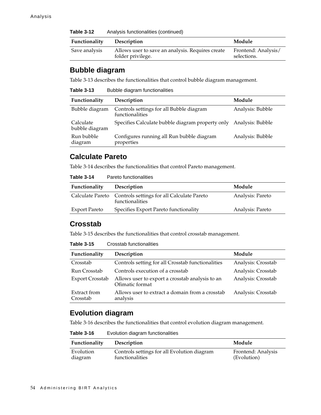| Table 3-12    | Analysis functionalities (continued)                                  |                                    |
|---------------|-----------------------------------------------------------------------|------------------------------------|
| Functionality | Description                                                           | Module                             |
| Save analysis | Allows user to save an analysis. Requires create<br>folder privilege. | Frontend: Analysis/<br>selections. |

#### **Bubble diagram**

[Table 3-13](#page-59-3) describes the functionalities that control bubble diagram management.

<span id="page-59-3"></span>

| Table 3-13 |  | Bubble diagram functionalities |
|------------|--|--------------------------------|
|------------|--|--------------------------------|

| Functionality               | Description                                                 | Module           |
|-----------------------------|-------------------------------------------------------------|------------------|
| Bubble diagram              | Controls settings for all Bubble diagram<br>functionalities | Analysis: Bubble |
| Calculate<br>bubble diagram | Specifies Calculate bubble diagram property only            | Analysis: Bubble |
| Run bubble<br>diagram       | Configures running all Run bubble diagram<br>properties     | Analysis: Bubble |

#### **Calculate Pareto**

[Table 3-14](#page-59-1) describes the functionalities that control Pareto management.

<span id="page-59-1"></span>

| Pareto functionalities<br>Table 3-14 |
|--------------------------------------|
|--------------------------------------|

| <b>Functionality</b> | <b>Description</b>                                                             | Module           |
|----------------------|--------------------------------------------------------------------------------|------------------|
|                      | Calculate Pareto Controls settings for all Calculate Pareto<br>functionalities | Analysis: Pareto |
| Export Pareto        | Specifies Export Pareto functionality                                          | Analysis: Pareto |

#### **Crosstab**

[Table 3-15](#page-59-0) describes the functionalities that control crosstab management.

<span id="page-59-0"></span>**Table 3-15** Crosstab functionalities

| Functionality            | Description                                                        | Module             |
|--------------------------|--------------------------------------------------------------------|--------------------|
| Crosstab                 | Controls setting for all Crosstab functionalities                  | Analysis: Crosstab |
| Run Crosstab             | Controls execution of a crosstab                                   | Analysis: Crosstab |
| <b>Export Crosstab</b>   | Allows user to export a crosstab analysis to an<br>Ofimatic format | Analysis: Crosstab |
| Extract from<br>Crosstab | Allows user to extract a domain from a crosstab<br>analysis        | Analysis: Crosstab |

#### **Evolution diagram**

[Table 3-16](#page-59-2) describes the functionalities that control evolution diagram management.

<span id="page-59-2"></span>**Table 3-16** Evolution diagram functionalities

| <b>Functionality</b> | Description                                 | Module             |
|----------------------|---------------------------------------------|--------------------|
| Evolution            | Controls settings for all Evolution diagram | Frontend: Analysis |
| diagram              | functionalities                             | (Evolution)        |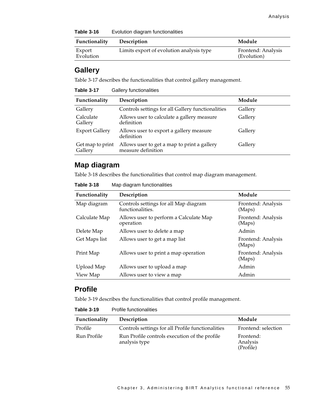**Table 3-16** Evolution diagram functionalities

| Functionality       | <b>Description</b>                       | Module                            |
|---------------------|------------------------------------------|-----------------------------------|
| Export<br>Evolution | Limits export of evolution analysis type | Frontend: Analysis<br>(Evolution) |

#### **Gallery**

[Table 3-17](#page-60-0) describes the functionalities that control gallery management.

<span id="page-60-0"></span>**Table 3-17** Gallery functionalities

| Functionality               | Description                                                       | Module  |
|-----------------------------|-------------------------------------------------------------------|---------|
| Gallery                     | Controls settings for all Gallery functionalities                 | Gallery |
| Calculate<br>Gallery        | Allows user to calculate a gallery measure<br>definition          | Gallery |
| <b>Export Gallery</b>       | Allows user to export a gallery measure<br>definition             | Gallery |
| Get map to print<br>Gallery | Allows user to get a map to print a gallery<br>measure definition | Gallery |

#### **Map diagram**

[Table 3-18](#page-60-1) describes the functionalities that control map diagram management.

<span id="page-60-1"></span>**Table 3-18** Map diagram functionalities

| Functionality | Description                                               | Module                       |
|---------------|-----------------------------------------------------------|------------------------------|
| Map diagram   | Controls settings for all Map diagram<br>functionalities. | Frontend: Analysis<br>(Maps) |
| Calculate Map | Allows user to perform a Calculate Map<br>operation       | Frontend: Analysis<br>(Maps) |
| Delete Map    | Allows user to delete a map                               | Admin                        |
| Get Maps list | Allows user to get a map list                             | Frontend: Analysis<br>(Maps) |
| Print Map     | Allows user to print a map operation                      | Frontend: Analysis<br>(Maps) |
| Upload Map    | Allows user to upload a map                               | Admin                        |
| View Map      | Allows user to view a map                                 | Admin                        |

#### **Profile**

[Table 3-19](#page-60-2) describes the functionalities that control profile management.

<span id="page-60-2"></span>

| Table 3-19<br><b>Profile functionalities</b> |
|----------------------------------------------|
|----------------------------------------------|

| Functionality | Description                                                    | Module                             |
|---------------|----------------------------------------------------------------|------------------------------------|
| Profile       | Controls settings for all Profile functionalities              | Frontend: selection                |
| Run Profile   | Run Profile controls execution of the profile<br>analysis type | Frontend:<br>Analysis<br>(Profile) |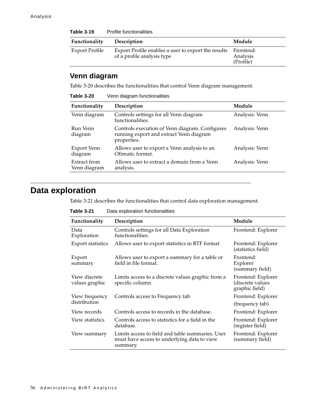| <b>Table 3-19</b>     | Profile functionalities                                                           |                                    |  |
|-----------------------|-----------------------------------------------------------------------------------|------------------------------------|--|
| Functionality         | Description                                                                       | Module                             |  |
| <b>Export Profile</b> | Export Profile enables a user to export the results<br>of a profile analysis type | Frontend:<br>Analysis<br>(Profile) |  |

# **Venn diagram**

[Table 3-20](#page-61-1) describes the functionalities that control Venn diagram management.

<span id="page-61-1"></span>

| Table 3-20                   | Venn diagram functionalities                                                                             |                |
|------------------------------|----------------------------------------------------------------------------------------------------------|----------------|
| Functionality                | Description                                                                                              | Module         |
| Venn diagram                 | Controls settings for all Venn diagram<br>functionalities.                                               | Analysis: Venn |
| Run Venn<br>diagram          | Controls execution of Venn diagram. Configures<br>running export and extract Venn diagram<br>properties. | Analysis: Venn |
| Export Venn<br>diagram       | Allows user to export a Venn analysis to an<br>Ofimatic format.                                          | Analysis: Venn |
| Extract from<br>Venn diagram | Allows user to extract a domain from a Venn<br>analysis.                                                 | Analysis: Venn |

# **Data exploration**

[Table 3-21](#page-61-0) describes the functionalities that control data exploration management.

<span id="page-61-0"></span>**Table 3-21** Data exploration functionalities

| Functionality                   | Description                                                                                                 | Module                                                   |
|---------------------------------|-------------------------------------------------------------------------------------------------------------|----------------------------------------------------------|
| Data<br>Exploration             | Controls settings for all Data Exploration<br>functionalities.                                              | Frontend: Explorer                                       |
| <b>Export statistics</b>        | Allows user to export statistics in RTF format.                                                             | Frontend: Explorer<br>(statistics field)                 |
| Export<br>summary               | Allows user to export a summary for a table or<br>field in file format.                                     | Frontend:<br>Explorer<br>(summary field)                 |
| View discrete<br>values graphic | Limits access to a discrete values graphic from a<br>specific column.                                       | Frontend: Explorer<br>(discrete values<br>graphic field) |
| View frequency<br>distribution  | Controls access to Frequency tab                                                                            | Frontend: Explorer<br>(frequency tab)                    |
| View records                    | Controls access to records in the database.                                                                 | Frontend: Explorer                                       |
| View statistics                 | Controls access to statistics for a field in the<br>database.                                               | Frontend: Explorer<br>(register field)                   |
| View summary                    | Limits access to field and table summaries. User<br>must have access to underlying data to view<br>summary. | Frontend: Explorer<br>(summary field)                    |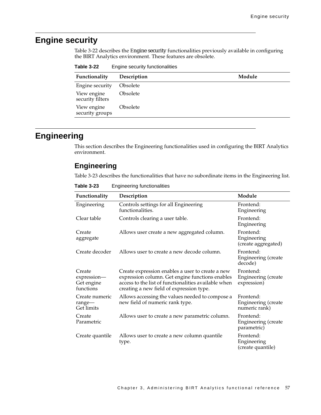# **Engine security**

[Table 3-22](#page-62-0) describes the Engine security functionalities previously available in configuring the BIRT Analytics environment. These features are obsolete.

<span id="page-62-0"></span>

| Functionality                   | Description            | Module |
|---------------------------------|------------------------|--------|
| Engine security                 | <b>Obsolete</b>        |        |
| View engine<br>security filters | <i><b>Obsolete</b></i> |        |
| View engine<br>security groups  | <i><b>Obsolete</b></i> |        |

#### **Engineering**

This section describes the Engineering functionalities used in configuring the BIRT Analytics environment.

#### **Engineering**

[Table 3-23](#page-62-1) describes the functionalities that have no subordinate items in the Engineering list.

| Functionality                                    | Description                                                                                                                                                                                             | Module                                            |
|--------------------------------------------------|---------------------------------------------------------------------------------------------------------------------------------------------------------------------------------------------------------|---------------------------------------------------|
| Engineering                                      | Controls settings for all Engineering<br>functionalities.                                                                                                                                               | Frontend:<br>Engineering                          |
| Clear table                                      | Controls clearing a user table.                                                                                                                                                                         | Frontend:<br>Engineering                          |
| Create<br>aggregate                              | Allows user create a new aggregated column.                                                                                                                                                             | Frontend:<br>Engineering<br>(create aggregated)   |
| Create decoder                                   | Allows user to create a new decode column.                                                                                                                                                              | Frontend:<br>Engineering (create<br>decode)       |
| Create<br>expression-<br>Get engine<br>functions | Create expression enables a user to create a new<br>expression column. Get engine functions enables<br>access to the list of functionalities available when<br>creating a new field of expression type. | Frontend:<br>Engineering (create<br>expression)   |
| Create numeric<br>range-<br>Get limits           | Allows accessing the values needed to compose a<br>new field of numeric rank type.                                                                                                                      | Frontend:<br>Engineering (create<br>numeric rank) |
| Create<br>Parametric                             | Allows user to create a new parametric column.                                                                                                                                                          | Frontend:<br>Engineering (create<br>parametric)   |
| Create quantile                                  | Allows user to create a new column quantile<br>type.                                                                                                                                                    | Frontend:<br>Engineering<br>(create quantile)     |

<span id="page-62-1"></span>**Table 3-23** Engineering functionalities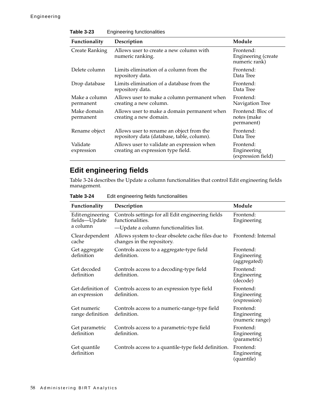| LANIC J-4J<br>Lighteening functionalities |                                                                                        |                                                   |  |
|-------------------------------------------|----------------------------------------------------------------------------------------|---------------------------------------------------|--|
| Functionality                             | Description                                                                            | Module                                            |  |
| <b>Create Ranking</b>                     | Allows user to create a new column with<br>numeric ranking.                            | Frontend:<br>Engineering (create<br>numeric rank) |  |
| Delete column                             | Limits elimination of a column from the<br>repository data.                            | Frontend:<br>Data Tree                            |  |
| Drop database                             | Limits elimination of a database from the<br>repository data.                          | Frontend:<br>Data Tree                            |  |
| Make a column<br>permanent                | Allows user to make a column permanent when<br>creating a new column.                  | Frontend:<br>Navigation Tree                      |  |
| Make domain<br>permanent                  | Allows user to make a domain permanent when<br>creating a new domain.                  | Frontend: Bloc of<br>notes (make<br>permanent)    |  |
| Rename object                             | Allows user to rename an object from the<br>repository data (database, table, column). | Frontend:<br>Data Tree                            |  |
| Validate<br>expression                    | Allows user to validate an expression when<br>creating an expression type field.       | Frontend:<br>Engineering<br>(expression field)    |  |

#### **Table 3-23** Engineering functionalities

# **Edit engineering fields**

[Table 3-24](#page-63-0) describes the Update a column functionalities that control Edit engineering fields management.

<span id="page-63-0"></span>

| Table 3-24 | Edit engineering fields functionalities |
|------------|-----------------------------------------|
|------------|-----------------------------------------|

| Functionality                      | Description                                                                      | Module                                      |
|------------------------------------|----------------------------------------------------------------------------------|---------------------------------------------|
| Editengineering<br>fields-Update   | Controls settings for all Edit engineering fields<br>functionalities.            | Frontend:<br>Engineering                    |
| a column                           | -Update a column functionalities list.                                           |                                             |
| Clear dependent<br>cache           | Allows system to clear obsolete cache files due to<br>changes in the repository. | Frontend: Internal                          |
| Get aggregate<br>definition        | Controls access to a aggregate-type field<br>definition.                         | Frontend:<br>Engineering<br>(aggregated)    |
| Get decoded<br>definition          | Controls access to a decoding-type field<br>definition.                          | Frontend:<br>Engineering<br>(decode)        |
| Get definition of<br>an expression | Controls access to an expression type field<br>definition.                       | Frontend:<br>Engineering<br>(expression)    |
| Get numeric<br>range definition    | Controls access to a numeric-range-type field<br>definition.                     | Frontend:<br>Engineering<br>(numeric range) |
| Get parametric<br>definition       | Controls access to a parametric-type field<br>definition.                        | Frontend:<br>Engineering<br>(parametric)    |
| Get quantile<br>definition         | Controls access to a quantile-type field definition.                             | Frontend:<br>Engineering<br>(quantile)      |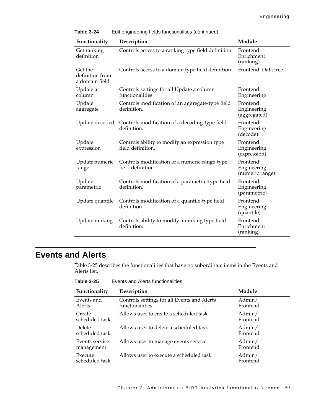| Functionality                                | Description                                                        | Module                                      |
|----------------------------------------------|--------------------------------------------------------------------|---------------------------------------------|
| Get ranking<br>definition                    | Controls access to a ranking type field definition.                | Frontend:<br>Enrichment<br>(ranking)        |
| Get the<br>definition from<br>a domain field | Controls access to a domain type field definition                  | Frontend: Data tree                         |
| Update a<br>column                           | Controls settings for all Update a column<br>functionalities       | Frontend:<br>Engineering                    |
| Update<br>aggregate                          | Controls modification of an aggregate-type field<br>definition.    | Frontend:<br>Engineering<br>(aggregated)    |
| Update decoded                               | Controls modification of a decoding-type field<br>definition.      | Frontend:<br>Engineering<br>(decode)        |
| Update<br>expression                         | Controls ability to modify an expression type<br>field definition. | Frontend:<br>Engineering<br>(expression)    |
| Update numeric<br>range                      | Controls modification of a numeric-range-type<br>field definition. | Frontend:<br>Engineering<br>(numeric range) |
| Update<br>parametric                         | Controls modification of a parametric-type field<br>definition.    | Frontend:<br>Engineering<br>(parametric)    |
| Update quantile                              | Controls modification of a quantile-type field<br>definition.      | Frontend:<br>Engineering<br>(quantile)      |
| Update ranking                               | Controls ability to modify a ranking type field<br>definition.     | Frontend:<br>Enrichment<br>(ranking)        |

#### **Table 3-24** Edit engineering fields functionalities (continued)

#### **Events and Alerts**

[Table 3-25](#page-64-0) describes the functionalities that have no subordinate items in the Events and Alerts list.

<span id="page-64-0"></span>

| Functionality                   | Description                                                    | Module             |
|---------------------------------|----------------------------------------------------------------|--------------------|
| Events and<br>Alerts            | Controls settings for all Events and Alerts<br>functionalities | Admin/<br>Frontend |
| Create<br>scheduled task        | Allows user to create a scheduled task                         | Admin/<br>Frontend |
| <b>Delete</b><br>scheduled task | Allows user to delete a scheduled task                         | Admin/<br>Frontend |
| Events service<br>management    | Allows user to manage events service                           | Admin/<br>Frontend |
| Execute<br>scheduled task       | Allows user to execute a scheduled task                        | Admin/<br>Frontend |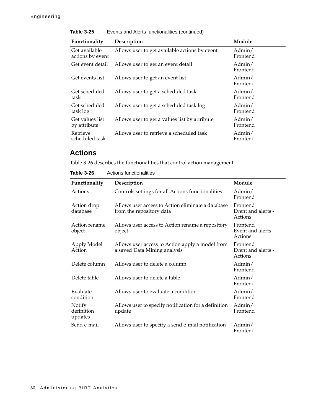| Functionality                     | Description                                   | Module             |
|-----------------------------------|-----------------------------------------------|--------------------|
| Get available<br>actions by event | Allows user to get available actions by event | Admin/<br>Frontend |
| Get event detail                  | Allows user to get an event detail            | Admin/<br>Frontend |
| Get events list                   | Allows user to get an event list              | Admin/<br>Frontend |
| Get scheduled<br>task             | Allows user to get a scheduled task           | Admin/<br>Frontend |
| Get scheduled<br>task log         | Allows user to get a scheduled task log       | Admin/<br>Frontend |
| Get values list<br>by attribute   | Allows user to get a values list by attribute | Admin/<br>Frontend |
| Retrieve<br>scheduled task        | Allows user to retrieve a scheduled task      | Admin/<br>Frontend |

**Table 3-25** Events and Alerts functionalities (continued)

#### **Actions**

[Table 3-26](#page-65-0) describes the functionalities that control action management.

<span id="page-65-0"></span>**Table 3-26** Actions functionalities

| Functionality                   | Description                                                                     | Module                                    |
|---------------------------------|---------------------------------------------------------------------------------|-------------------------------------------|
| Actions                         | Controls settings for all Actions functionalities                               | Admin/<br>Frontend                        |
| Action drop<br>database         | Allows user access to Action eliminate a database<br>from the repository data   | Frontend<br>Event and alerts -<br>Actions |
| Action rename<br>object         | Allows user access to Action rename a repository<br>object                      | Frontend<br>Event and alerts -<br>Actions |
| Apply Model<br>Action           | Allows user access to Action apply a model from<br>a saved Data Mining analysis | Frontend<br>Event and alerts -<br>Actions |
| Delete column                   | Allows user to delete a column                                                  | Admin/<br>Frontend                        |
| Delete table                    | Allows user to delete a table                                                   | Admin/<br>Frontend                        |
| Evaluate<br>condition           | Allows user to evaluate a condition                                             | Admin/<br>Frontend                        |
| Notify<br>definition<br>updates | Allows user to specify notification for a definition<br>update                  | Admin/<br>Frontend                        |
| Send e-mail                     | Allows user to specify a send e-mail notification                               | Admin/<br>Frontend                        |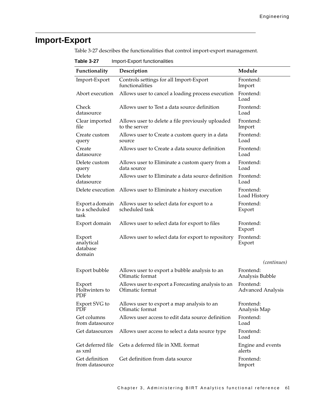# **Import-Export**

[Table 3-27](#page-66-0) describes the functionalities that control import-export management.

| 400000000<br>$m$ port-Laport runctionalitics |                                                                       |                                       |  |
|----------------------------------------------|-----------------------------------------------------------------------|---------------------------------------|--|
| Functionality                                | Description                                                           | Module                                |  |
| Import-Export                                | Controls settings for all Import-Export<br>functionalities            | Frontend:<br>Import                   |  |
| Abort execution                              | Allows user to cancel a loading process execution                     | Frontend:<br>Load                     |  |
| Check<br>datasource                          | Allows user to Test a data source definition                          | Frontend:<br>Load                     |  |
| Clear imported<br>file                       | Allows user to delete a file previously uploaded<br>to the server     | Frontend:<br>Import                   |  |
| Create custom<br>query                       | Allows user to Create a custom query in a data<br>source              | Frontend:<br>Load                     |  |
| Create<br>datasource                         | Allows user to Create a data source definition                        | Frontend:<br>Load                     |  |
| Delete custom<br>query                       | Allows user to Eliminate a custom query from a<br>data source         | Frontend:<br>Load                     |  |
| Delete<br>datasource                         | Allows user to Eliminate a data source definition                     | Frontend:<br>Load                     |  |
| Delete execution                             | Allows user to Eliminate a history execution                          | Frontend:<br>Load History             |  |
| Export a domain<br>to a scheduled<br>task    | Allows user to select data for export to a<br>scheduled task          | Frontend:<br>Export                   |  |
| Export domain                                | Allows user to select data for export to files                        | Frontend:<br>Export                   |  |
| Export<br>analytical<br>database<br>domain   | Allows user to select data for export to repository                   | Frontend:<br>Export                   |  |
|                                              |                                                                       | (continues)                           |  |
| Export bubble                                | Allows user to export a bubble analysis to an<br>Ofimatic format      | Frontend:<br>Analysis Bubble          |  |
| Export<br>Holtwinters to<br>PDF              | Allows user to export a Forecasting analysis to an<br>Ofimatic format | Frontend:<br><b>Advanced Analysis</b> |  |
| Export SVG to<br>PDF                         | Allows user to export a map analysis to an<br>Ofimatic format         | Frontend:<br>Analysis Map             |  |
| Get columns<br>from datasource               | Allows user access to edit data source definition                     | Frontend:<br>Load                     |  |
| Get datasources                              | Allows user access to select a data source type                       | Frontend:<br>Load                     |  |
| Get deferred file<br>as xml                  | Gets a deferred file in XML format                                    | Engine and events<br>alerts           |  |
| Get definition<br>from datasource            | Get definition from data source                                       | Frontend:<br>Import                   |  |

<span id="page-66-0"></span>**Table 3-27** Import-Export functionalities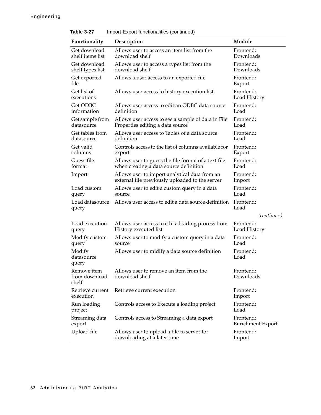| Functionality                         | Description                                                                                      | Module                                |
|---------------------------------------|--------------------------------------------------------------------------------------------------|---------------------------------------|
| Get download<br>shelf items list      | Allows user to access an item list from the<br>download shelf                                    | Frontend:<br>Downloads                |
| Get download<br>shelf types list      | Allows user to access a types list from the<br>download shelf                                    | Frontend:<br>Downloads                |
| Get exported<br>file                  | Allows a user access to an exported file                                                         | Frontend:<br>Export                   |
| Get list of<br>executions             | Allows user access to history execution list                                                     | Frontend:<br>Load History             |
| Get ODBC<br>information               | Allows user access to edit an ODBC data source<br>definition                                     | Frontend:<br>Load                     |
| Get sample from<br>datasource         | Allows user access to see a sample of data in File<br>Properties editing a data source           | Frontend:<br>Load                     |
| Get tables from<br>datasource         | Allows user access to Tables of a data source<br>definition                                      | Frontend:<br>Load                     |
| Get valid<br>columns                  | Controls access to the list of columns available for<br>export                                   | Frontend:<br>Export                   |
| Guess file<br>format                  | Allows user to guess the file format of a text file<br>when creating a data source definition    | Frontend:<br>Load                     |
| Import                                | Allows user to import analytical data from an<br>external file previously uploaded to the server | Frontend:<br>Import                   |
| Load custom<br>query                  | Allows user to edit a custom query in a data<br>source                                           | Frontend:<br>Load                     |
| Load datasource<br>query              | Allows user access to edit a data source definition                                              | Frontend:<br>Load                     |
|                                       |                                                                                                  | (continues)                           |
| Load execution<br>query               | Allows user access to edit a loading process from<br>History executed list                       | Frontend:<br>Load History             |
| Modify custom<br>query                | Allows user to modify a custom query in a data<br>source                                         | Frontend:<br>Load                     |
| Modify<br>datasource<br>query         | Allows user to midify a data source definition                                                   | Frontend:<br>Load                     |
| Remove item<br>from download<br>shelf | Allows user to remove an item from the<br>download shelf                                         | Frontend:<br>Downloads                |
| Retrieve current<br>execution         | Retrieve current execution                                                                       | Frontend:<br>Import                   |
| Run loading<br>project                | Controls access to Execute a loading project                                                     | Frontend:<br>Load                     |
| Streaming data<br>export              | Controls access to Streaming a data export                                                       | Frontend:<br><b>Enrichment Export</b> |
| Upload file                           | Allows user to upload a file to server for<br>downloading at a later time                        | Frontend:<br>Import                   |

**Table 3-27** Import-Export functionalities (continued)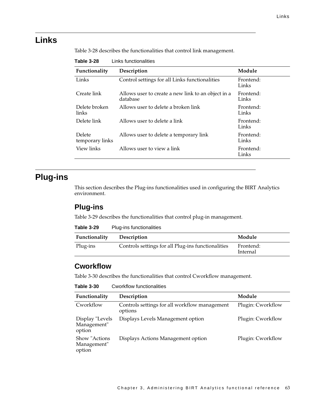### **Links**

[Table 3-28](#page-68-2) describes the functionalities that control link management.

| סא־ט טושטו<br>LINS IGNUMBRINGS |                                                                |                    |
|--------------------------------|----------------------------------------------------------------|--------------------|
| Functionality                  | Description                                                    | Module             |
| Links                          | Control settings for all Links functionalities                 | Frontend:<br>Links |
| Create link                    | Allows user to create a new link to an object in a<br>database | Frontend:<br>Links |
| Delete broken<br>links         | Allows user to delete a broken link                            | Frontend:<br>Links |
| Delete link                    | Allows user to delete a link                                   | Frontend:<br>Links |
| Delete<br>temporary links      | Allows user to delete a temporary link                         | Frontend:<br>Links |
| View links                     | Allows user to view a link                                     | Frontend:<br>Links |

<span id="page-68-2"></span>

| Table 3-28 | Links functionalities |
|------------|-----------------------|
|            |                       |

# **Plug-ins**

This section describes the Plug-ins functionalities used in configuring the BIRT Analytics environment.

#### **Plug-ins**

[Table 3-29](#page-68-0) describes the functionalities that control plug-in management.

<span id="page-68-0"></span>

| Table 3-29 | Plug-ins functionalities |
|------------|--------------------------|
|------------|--------------------------|

| Functionality | Description                                        | Module                |
|---------------|----------------------------------------------------|-----------------------|
| Plug-ins      | Controls settings for all Plug-ins functionalities | Frontend:<br>Internal |

#### **Cworkflow**

[Table 3-30](#page-68-1) describes the functionalities that control Cworkflow management.

<span id="page-68-1"></span>**Table 3-30** Cworkflow functionalities

| Functionality                            | Description                                              | Module            |
|------------------------------------------|----------------------------------------------------------|-------------------|
| Cworkflow                                | Controls settings for all workflow management<br>options | Plugin: Cworkflow |
| Display "Levels<br>Management"<br>option | Displays Levels Management option                        | Plugin: Cworkflow |
| Show "Actions"<br>Management"<br>option  | Displays Actions Management option                       | Plugin: Cworkflow |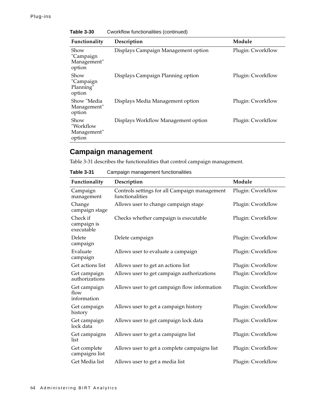| Functionality                              | Description                         | Module            |
|--------------------------------------------|-------------------------------------|-------------------|
| Show<br>"Campaign<br>Management"<br>option | Displays Campaign Management option | Plugin: Cworkflow |
| Show<br>"Campaign<br>Planning"<br>option   | Displays Campaign Planning option   | Plugin: Cworkflow |
| Show "Media<br>Management"<br>option       | Displays Media Management option    | Plugin: Cworkflow |
| Show<br>"Workflow<br>Management"<br>option | Displays Workflow Management option | Plugin: Cworkflow |

**Table 3-30** Cworkflow functionalities (continued)

#### **Campaign management**

[Table 3-31](#page-69-0) describes the functionalities that control campaign management.

<span id="page-69-0"></span>**Table 3-31** Campaign management functionalities

| Functionality                         | Description                                                      | Module            |
|---------------------------------------|------------------------------------------------------------------|-------------------|
| Campaign<br>management                | Controls settings for all Campaign management<br>functionalities | Plugin: Cworkflow |
| Change<br>campaign stage              | Allows user to change campaign stage                             | Plugin: Cworkflow |
| Check if<br>campaign is<br>executable | Checks whether campaign is executable                            | Plugin: Cworkflow |
| Delete<br>campaign                    | Delete campaign                                                  | Plugin: Cworkflow |
| Evaluate<br>campaign                  | Allows user to evaluate a campaign                               | Plugin: Cworkflow |
| Get actions list                      | Allows user to get an actions list                               | Plugin: Cworkflow |
| Get campaign<br>authorizations        | Allows user to get campaign authorizations                       | Plugin: Cworkflow |
| Get campaign<br>flow<br>information   | Allows user to get campaign flow information                     | Plugin: Cworkflow |
| Get campaign<br>history               | Allows user to get a campaign history                            | Plugin: Cworkflow |
| Get campaign<br>lock data             | Allows user to get campaign lock data                            | Plugin: Cworkflow |
| Get campaigns<br>list                 | Allows user to get a campaigns list                              | Plugin: Cworkflow |
| Get complete<br>campaigns list        | Allows user to get a complete campaigns list                     | Plugin: Cworkflow |
| Get Media list                        | Allows user to get a media list                                  | Plugin: Cworkflow |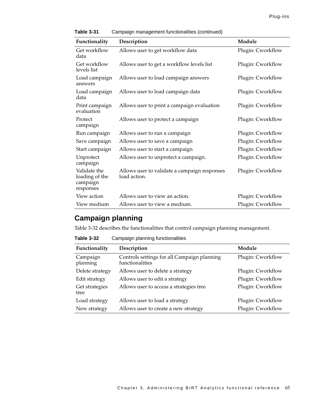| Functionality                                           | Description                                                  | Module            |
|---------------------------------------------------------|--------------------------------------------------------------|-------------------|
| Get workflow<br>data                                    | Allows user to get workflow data                             | Plugin: Cworkflow |
| Get workflow<br>levels list                             | Allows user to get a workflow levels list                    | Plugin: Cworkflow |
| Load campaign<br>answers                                | Allows user to load campaign answers                         | Plugin: Cworkflow |
| Load campaign<br>data                                   | Allows user to load campaign data                            | Plugin: Cworkflow |
| Print campaign<br>evaluation                            | Allows user to print a campaign evaluation                   | Plugin: Cworkflow |
| Protect<br>campaign                                     | Allows user to protect a campaign                            | Plugin: Cworkflow |
| Run campaign                                            | Allows user to run a campaign                                | Plugin: Cworkflow |
| Save campaign                                           | Allows user to save a campaign                               | Plugin: Cworkflow |
| Start campaign                                          | Allows user to start a campaign                              | Plugin: Cworkflow |
| Unprotect<br>campaign                                   | Allows user to unprotect a campaign.                         | Plugin: Cworkflow |
| Validate the<br>loading of the<br>campaign<br>responses | Allows user to validate a campaign responses<br>load action. | Plugin: Cworkflow |
| View action                                             | Allows user to view an action.                               | Plugin: Cworkflow |
| View medium                                             | Allows user to view a medium.                                | Plugin: Cworkflow |

**Table 3-31** Campaign management functionalities (continued)

#### **Campaign planning**

[Table 3-32](#page-70-0) describes the functionalities that control campaign planning management.

<span id="page-70-0"></span>**Table 3-32** Campaign planning functionalities

| Functionality          | Description                                                    | Module            |
|------------------------|----------------------------------------------------------------|-------------------|
| Campaign<br>planning   | Controls settings for all Campaign planning<br>functionalities | Plugin: Cworkflow |
| Delete strategy        | Allows user to delete a strategy                               | Plugin: Cworkflow |
| Edit strategy          | Allows user to edit a strategy                                 | Plugin: Cworkflow |
| Get strategies<br>tree | Allows user to access a strategies tree                        | Plugin: Cworkflow |
| Load strategy          | Allows user to load a strategy                                 | Plugin: Cworkflow |
| New strategy           | Allows user to create a new strategy                           | Plugin: Cworkflow |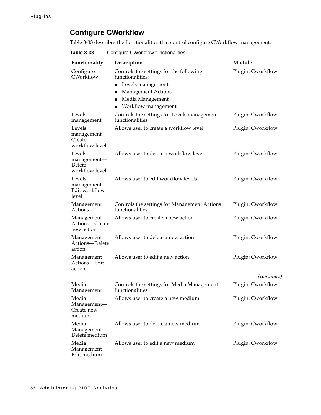#### **Configure CWorkflow**

[Table 3-33](#page-71-0) describes the functionalities that control configure CWorkflow management.

<span id="page-71-0"></span>**Table 3-33** Configure CWorkflow functionalities

| Functionality                                     | Description                                                                                                                                                             | Module                                  |
|---------------------------------------------------|-------------------------------------------------------------------------------------------------------------------------------------------------------------------------|-----------------------------------------|
| Configure<br>CWorkflow                            | Controls the settings for the following<br>functionalities:<br>Levels management<br>п<br><b>Management Actions</b><br>■<br>Media Management<br>п<br>Workflow management | Plugin: Cworkflow                       |
| Levels<br>management                              | Controls the settings for Levels management<br>functionalities                                                                                                          | Plugin: Cworkflow                       |
| Levels<br>management-<br>Create<br>workflow level | Allows user to create a workflow level                                                                                                                                  | Plugin: Cworkflow                       |
| Levels<br>management-<br>Delete<br>workflow level | Allows user to delete a workflow level                                                                                                                                  | Plugin: Cworkflow                       |
| Levels<br>management-<br>Edit workflow<br>level   | Allows user to edit workflow levels                                                                                                                                     | Plugin: Cworkflow                       |
| Management<br>Actions                             | Controls the settings for Management Actions<br>functionalities                                                                                                         | Plugin: Cworkflow                       |
| Management<br>Actions—Create<br>new action        | Allows user to create a new action                                                                                                                                      | Plugin: Cworkflow                       |
| Management<br>Actions-Delete<br>action            | Allows user to delete a new action                                                                                                                                      | Plugin: Cworkflow                       |
| Management<br>Actions-Edit<br>action              | Allows user to edit a new action                                                                                                                                        | Plugin: Cworkflow                       |
| Media<br>Management                               | Controls the settings for Media Management<br>functionalities                                                                                                           | <i>(continues)</i><br>Plugin: Cworkflow |
| Media<br>Management-<br>Create new<br>medium      | Allows user to create a new medium                                                                                                                                      | Plugin: Cworkflow                       |
| Media<br>Management-<br>Delete medium             | Allows user to delete a new medium                                                                                                                                      | Plugin: Cworkflow                       |
| Media<br>Management-<br>Edit medium               | Allows user to edit a new medium                                                                                                                                        | Plugin: Cworkflow                       |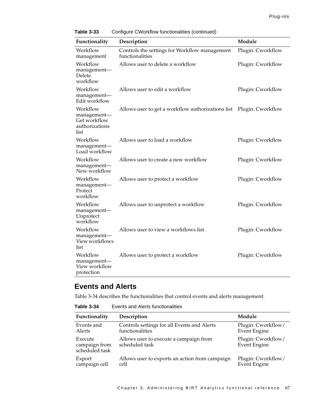| Functionality                                                     | Description                                                      | Module            |
|-------------------------------------------------------------------|------------------------------------------------------------------|-------------------|
| Workflow<br>management                                            | Controls the settings for Workflow management<br>functionalities | Plugin: Cworkflow |
| Workflow<br>management-<br>Delete<br>workflow                     | Allows user to delete a workflow                                 | Plugin: Cworkflow |
| Workflow<br>management-<br>Edit workflow                          | Allows user to edit a workflow                                   | Plugin: Cworkflow |
| Workflow<br>management-<br>Get workflow<br>authorizations<br>list | Allows user to get a workflow authorizations list                | Plugin: Cworkflow |
| Workflow<br>management-<br>Load workflow                          | Allows user to load a workflow                                   | Plugin: Cworkflow |
| Workflow<br>management-<br>New workflow                           | Allows user to create a new workflow                             | Plugin: Cworkflow |
| Workflow<br>management-<br>Protect<br>workflow                    | Allows user to protect a workflow                                | Plugin: Cworkflow |
| Workflow<br>management-<br>Unprotect<br>workflow                  | Allows user to unprotect a workflow                              | Plugin: Cworkflow |
| Workflow<br>management-<br>View workflows<br>list                 | Allows user to view a workflows list                             | Plugin: Cworkflow |
| Workflow<br>management-<br>View workflow<br>protection            | Allows user to protect a workflow                                | Plugin: Cworkflow |

**Table 3-33** Configure CWorkflow functionalities (continued)

#### **Events and Alerts**

[Table 3-34](#page-72-0) describes the functionalities that control events and alerts management.

<span id="page-72-0"></span>**Table 3-34** Events and Alerts functionalities

| Functionality                              | Description                                                    | Module                                    |
|--------------------------------------------|----------------------------------------------------------------|-------------------------------------------|
| Events and<br>Alerts                       | Controls settings for all Events and Alerts<br>functionalities | Plugin: Cworkflow/<br><b>Event Engine</b> |
| Execute<br>campaign from<br>scheduled task | Allows user to execute a campaign from<br>scheduled task       | Plugin: Cworkflow/<br><b>Event Engine</b> |
| Export<br>campaign cell                    | Allows user to exports an action from campaign<br>cell         | Plugin: Cworkflow/<br><b>Event Engine</b> |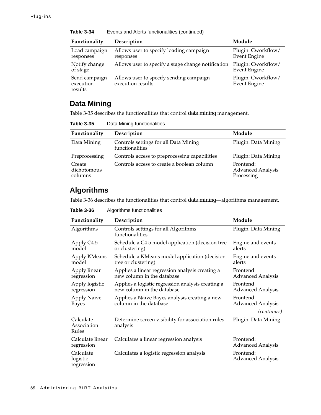| Functionality                         | Description                                                  | Module                                    |
|---------------------------------------|--------------------------------------------------------------|-------------------------------------------|
| Load campaign<br>responses            | Allows user to specify loading campaign<br>responses         | Plugin: Cworkflow/<br><b>Event Engine</b> |
| Notify change<br>of stage             | Allows user to specify a stage change notification           | Plugin: Cworkflow/<br><b>Event Engine</b> |
| Send campaign<br>execution<br>results | Allows user to specify sending campaign<br>execution results | Plugin: Cworkflow/<br><b>Event Engine</b> |

**Table 3-34** Events and Alerts functionalities (continued)

### **Data Mining**

[Table 3-35](#page-73-0) describes the functionalities that control data mining management.

<span id="page-73-0"></span>**Table 3-35** Data Mining functionalities

| Functionality                    | Description                                              | Module                                              |
|----------------------------------|----------------------------------------------------------|-----------------------------------------------------|
| Data Mining                      | Controls settings for all Data Mining<br>functionalities | Plugin: Data Mining                                 |
| Preprocessing                    | Controls access to preprocessing capabilities            | Plugin: Data Mining                                 |
| Create<br>dichotomous<br>columns | Controls access to create a boolean column               | Frontend:<br><b>Advanced Analysis</b><br>Processing |

#### **Algorithms**

[Table 3-36](#page-73-1) describes the functionalities that control data mining—algorithms management.

<span id="page-73-1"></span>**Table 3-36** Algorithms functionalities

| Functionality                       | Description                                                                     | Module                                |
|-------------------------------------|---------------------------------------------------------------------------------|---------------------------------------|
| Algorithms                          | Controls settings for all Algorithms<br>functionalities                         | Plugin: Data Mining                   |
| Apply C4.5<br>model                 | Schedule a C4.5 model application (decision tree<br>or clustering)              | Engine and events<br>alerts           |
| Apply KMeans<br>model               | Schedule a KMeans model application (decision<br>tree or clustering)            | Engine and events<br>alerts           |
| Apply linear<br>regression          | Applies a linear regression analysis creating a<br>new column in the database   | Frontend<br><b>Advanced Analysis</b>  |
| Apply logistic<br>regression        | Applies a logistic regression analysis creating a<br>new column in the database | Frontend<br><b>Advanced Analysis</b>  |
| <b>Apply Naive</b><br><b>Bayes</b>  | Applies a Naive Bayes analysis creating a new<br>column in the database         | Frontend<br><b>Advanced Analysis</b>  |
|                                     |                                                                                 | <i>(continues)</i>                    |
| Calculate<br>Association<br>Rules   | Determine screen visibility for association rules<br>analysis                   | Plugin: Data Mining                   |
| Calculate linear<br>regression      | Calculates a linear regression analysis                                         | Frontend:<br><b>Advanced Analysis</b> |
| Calculate<br>logistic<br>regression | Calculates a logistic regression analysis                                       | Frontend:<br><b>Advanced Analysis</b> |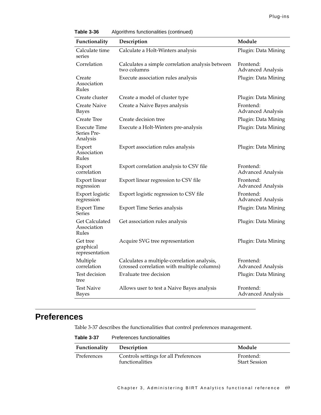| Functionality                                 | Description                                                                                | Module                                |
|-----------------------------------------------|--------------------------------------------------------------------------------------------|---------------------------------------|
| Calculate time<br>series                      | Calculate a Holt-Winters analysis                                                          | Plugin: Data Mining                   |
| Correlation                                   | Calculates a simple correlation analysis between<br>two columns                            | Frontend:<br><b>Advanced Analysis</b> |
| Create<br>Association<br>Rules                | Execute association rules analysis                                                         | Plugin: Data Mining                   |
| Create cluster                                | Create a model of cluster type                                                             | Plugin: Data Mining                   |
| Create Naive<br><b>Bayes</b>                  | Create a Naive Bayes analysis                                                              | Frontend:<br><b>Advanced Analysis</b> |
| <b>Create Tree</b>                            | Create decision tree                                                                       | Plugin: Data Mining                   |
| Execute Time<br>Series Pre-<br>Analysis       | Execute a Holt-Winters pre-analysis                                                        | Plugin: Data Mining                   |
| Export<br>Association<br>Rules                | Export association rules analysis                                                          | Plugin: Data Mining                   |
| Export<br>correlation                         | Export correlation analysis to CSV file                                                    | Frontend:<br><b>Advanced Analysis</b> |
| Export linear<br>regression                   | Export linear regression to CSV file                                                       | Frontend:<br><b>Advanced Analysis</b> |
| Export logistic<br>regression                 | Export logistic regression to CSV file                                                     | Frontend:<br>Advanced Analysis        |
| <b>Export Time</b><br>Series                  | <b>Export Time Series analysis</b>                                                         | Plugin: Data Mining                   |
| <b>Get Calculated</b><br>Association<br>Rules | Get association rules analysis                                                             | Plugin: Data Mining                   |
| Get tree<br>graphical<br>representation       | Acquire SVG tree representation                                                            | Plugin: Data Mining                   |
| Multiple<br>correlation                       | Calculates a multiple-correlation analysis,<br>(crossed correlation with multiple columns) | Frontend:<br><b>Advanced Analysis</b> |
| Test decision<br>tree                         | Evaluate tree decision                                                                     | Plugin: Data Mining                   |
| <b>Test Naive</b><br>Bayes                    | Allows user to test a Naive Bayes analysis                                                 | Frontend:<br><b>Advanced Analysis</b> |

| Table 3-36 |  | Algorithms functionalities (continued) |  |  |
|------------|--|----------------------------------------|--|--|
|------------|--|----------------------------------------|--|--|

## **Preferences**

[Table 3-37](#page-74-0) describes the functionalities that control preferences management.

<span id="page-74-0"></span>

|  | Table 3-37 |  | Preferences functionalities |
|--|------------|--|-----------------------------|
|--|------------|--|-----------------------------|

| <b>Functionality</b> | Description                           | Module               |
|----------------------|---------------------------------------|----------------------|
| Preferences          | Controls settings for all Preferences | Frontend:            |
|                      | functionalities                       | <b>Start Session</b> |